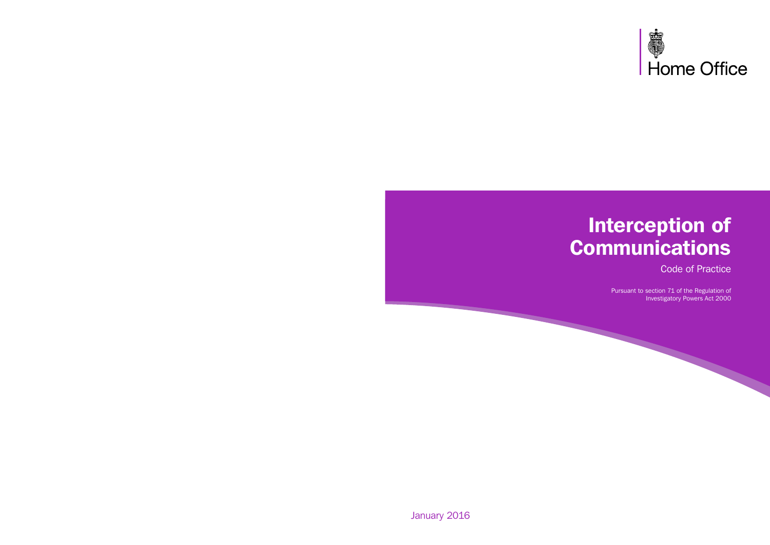

# Interception of **Communications**

Code of Practice

Pursuant to section 71 of the Regulation of Investigatory Powers Act 2000

January 2016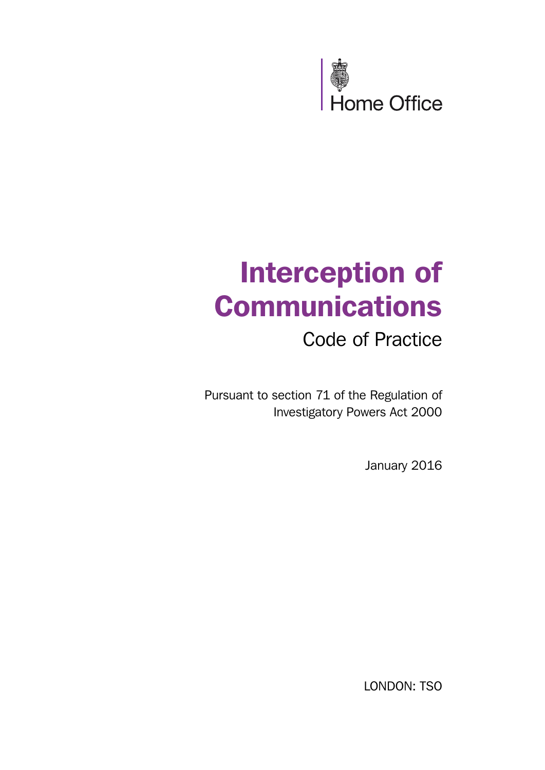

# Interception of **Communications**

Code of Practice

Pursuant to section 71 of the Regulation of Investigatory Powers Act 2000

January 2016

LONDON: TSO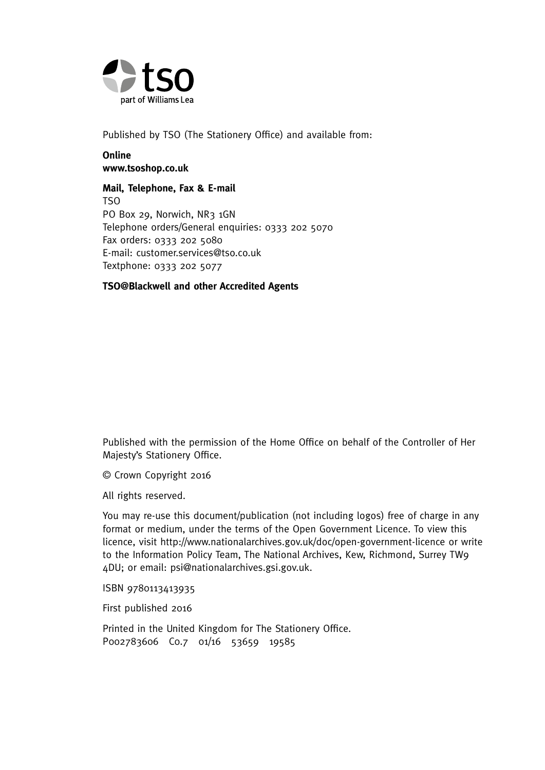

Published by TSO (The Stationery Office) and available from:

#### **Online [www.tsoshop.co.uk](http://www.tsoshop.co.uk)**

**Mail, Telephone, Fax & E-mail**  TSO PO Box 29, Norwich, NR3 1GN Telephone orders/General enquiries: 0333 202 5070 Fax orders: 0333 202 5080 E-mail: [customer.services@tso.co.uk](mailto:customer.services@tso.co.uk)  Textphone: 0333 202 5077

#### **TSO@Blackwell and other Accredited Agents**

Published with the permission of the Home Office on behalf of the Controller of Her Majesty's Stationery Office.

© Crown Copyright 2016

All rights reserved.

You may re-use this document/publication (not including logos) free of charge in any format or medium, under the terms of the Open Government Licence. To view this licence, visit <http://www.nationalarchives.gov.uk/doc/open-government-licence>or write to the Information Policy Team, The National Archives, Kew, Richmond, Surrey TW9 4DU; or email: psi@nationalarchives.gsi.gov.uk.

ISBN 9780113413935

First published 2016

 P002783606 C0.7 01/16 53659 19585 Printed in the United Kingdom for The Stationery Office.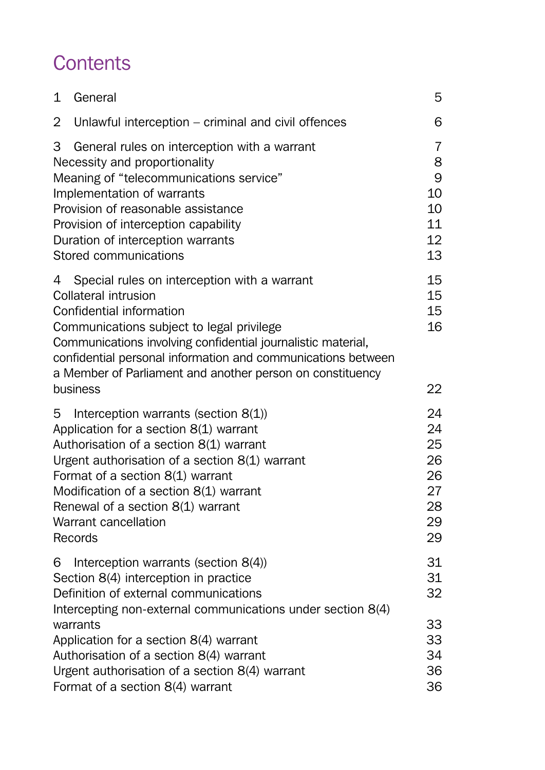## **Contents**

| 1<br>General                                                                                                                                                                                                                                                                                                                                                | 5                                                  |
|-------------------------------------------------------------------------------------------------------------------------------------------------------------------------------------------------------------------------------------------------------------------------------------------------------------------------------------------------------------|----------------------------------------------------|
| 2<br>Unlawful interception - criminal and civil offences                                                                                                                                                                                                                                                                                                    | 6                                                  |
| 3<br>General rules on interception with a warrant<br>Necessity and proportionality<br>Meaning of "telecommunications service"<br>Implementation of warrants<br>Provision of reasonable assistance<br>Provision of interception capability<br>Duration of interception warrants<br>Stored communications                                                     | 7<br>8<br>9<br>10<br>10<br>11<br>12<br>13          |
| Special rules on interception with a warrant<br>4<br>Collateral intrusion<br>Confidential information<br>Communications subject to legal privilege<br>Communications involving confidential journalistic material,<br>confidential personal information and communications between<br>a Member of Parliament and another person on constituency<br>business | 15<br>15<br>15<br>16<br>22                         |
| 5<br>Interception warrants (section $8(1)$ )<br>Application for a section 8(1) warrant<br>Authorisation of a section 8(1) warrant<br>Urgent authorisation of a section 8(1) warrant<br>Format of a section 8(1) warrant<br>Modification of a section 8(1) warrant<br>Renewal of a section 8(1) warrant<br>Warrant cancellation<br>Records                   | 24<br>24<br>25<br>26<br>26<br>27<br>28<br>29<br>29 |
| Interception warrants (section 8(4))<br>6<br>Section 8(4) interception in practice<br>Definition of external communications<br>Intercepting non-external communications under section 8(4)                                                                                                                                                                  | 31<br>31<br>32                                     |
| warrants<br>Application for a section 8(4) warrant<br>Authorisation of a section 8(4) warrant<br>Urgent authorisation of a section 8(4) warrant<br>Format of a section 8(4) warrant                                                                                                                                                                         | 33<br>33<br>34<br>36<br>36                         |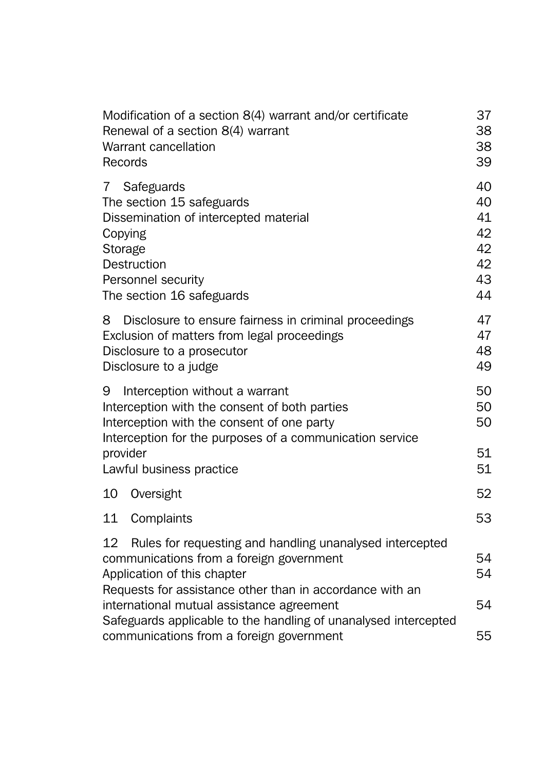| Modification of a section 8(4) warrant and/or certificate<br>Renewal of a section 8(4) warrant<br>Warrant cancellation<br>Records                                                                     | 37<br>38<br>38<br>39                         |
|-------------------------------------------------------------------------------------------------------------------------------------------------------------------------------------------------------|----------------------------------------------|
| Safeguards<br>7<br>The section 15 safeguards<br>Dissemination of intercepted material<br>Copying<br>Storage<br>Destruction<br>Personnel security<br>The section 16 safeguards                         | 40<br>40<br>41<br>42<br>42<br>42<br>43<br>44 |
| 8<br>Disclosure to ensure fairness in criminal proceedings<br>Exclusion of matters from legal proceedings<br>Disclosure to a prosecutor<br>Disclosure to a judge                                      | 47<br>47<br>48<br>49                         |
| Interception without a warrant<br>9<br>Interception with the consent of both parties<br>Interception with the consent of one party<br>Interception for the purposes of a communication service        | 50<br>50<br>50                               |
| provider<br>Lawful business practice                                                                                                                                                                  | 51<br>51                                     |
| 10<br>Oversight                                                                                                                                                                                       | 52                                           |
| 11<br>Complaints                                                                                                                                                                                      | 53                                           |
| 12<br>Rules for requesting and handling unanalysed intercepted<br>communications from a foreign government<br>Application of this chapter<br>Requests for assistance other than in accordance with an | 54<br>54                                     |
| international mutual assistance agreement<br>Safeguards applicable to the handling of unanalysed intercepted<br>communications from a foreign government                                              | 54<br>55                                     |
|                                                                                                                                                                                                       |                                              |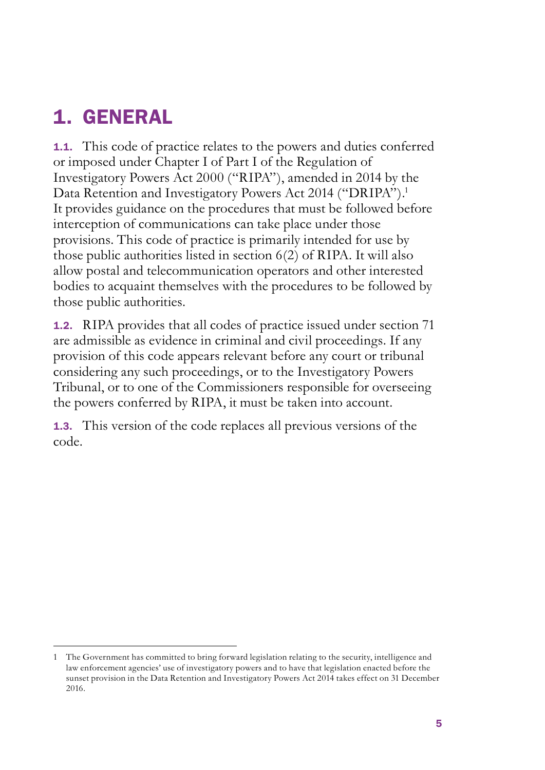## 1. GENERAL

1.1. This code of practice relates to the powers and duties conferred or imposed under Chapter I of Part I of the Regulation of Investigatory Powers Act 2000 ("RIPA"), amended in 2014 by the Data Retention and Investigatory Powers Act 2014 ("DRIPA").<sup>1</sup> It provides guidance on the procedures that must be followed before interception of communications can take place under those provisions. This code of practice is primarily intended for use by those public authorities listed in section 6(2) of RIPA. It will also allow postal and telecommunication operators and other interested bodies to acquaint themselves with the procedures to be followed by those public authorities.

1.2. RIPA provides that all codes of practice issued under section 71 are admissible as evidence in criminal and civil proceedings. If any provision of this code appears relevant before any court or tribunal considering any such proceedings, or to the Investigatory Powers Tribunal, or to one of the Commissioners responsible for overseeing the powers conferred by RIPA, it must be taken into account.

1.3. This version of the code replaces all previous versions of the code.

<sup>1</sup> The Government has committed to bring forward legislation relating to the security, intelligence and law enforcement agencies' use of investigatory powers and to have that legislation enacted before the sunset provision in the Data Retention and Investigatory Powers Act 2014 takes effect on 31 December 2016.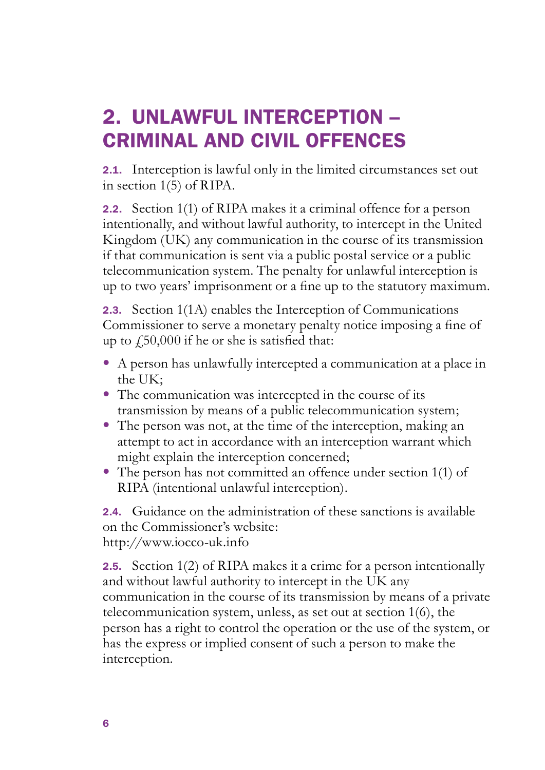## 2. UNLAWFUL INTERCEPTION – CRIMINAL AND CIVIL OFFENCES

2.1. Interception is lawful only in the limited circumstances set out in section 1(5) of RIPA.

2.2. Section 1(1) of RIPA makes it a criminal offence for a person intentionally, and without lawful authority, to intercept in the United Kingdom (UK) any communication in the course of its transmission if that communication is sent via a public postal service or a public telecommunication system. The penalty for unlawful interception is up to two years' imprisonment or a fine up to the statutory maximum.

2.3. Section 1(1A) enables the Interception of Communications Commissioner to serve a monetary penalty notice imposing a fine of up to  $\text{\textsterling}50,000$  if he or she is satisfied that:

- • A person has unlawfully intercepted a communication at a place in the UK;
- The communication was intercepted in the course of its transmission by means of a public telecommunication system;
- The person was not, at the time of the interception, making an attempt to act in accordance with an interception warrant which might explain the interception concerned;
- The person has not committed an offence under section 1(1) of RIPA (intentional unlawful interception).

2.4. Guidance on the administration of these sanctions is available on the Commissioner's website: <http://www.iocco-uk.info>

**2.5.** Section 1(2) of RIPA makes it a crime for a person intentionally and without lawful authority to intercept in the UK any communication in the course of its transmission by means of a private telecommunication system, unless, as set out at section 1(6), the person has a right to control the operation or the use of the system, or has the express or implied consent of such a person to make the interception.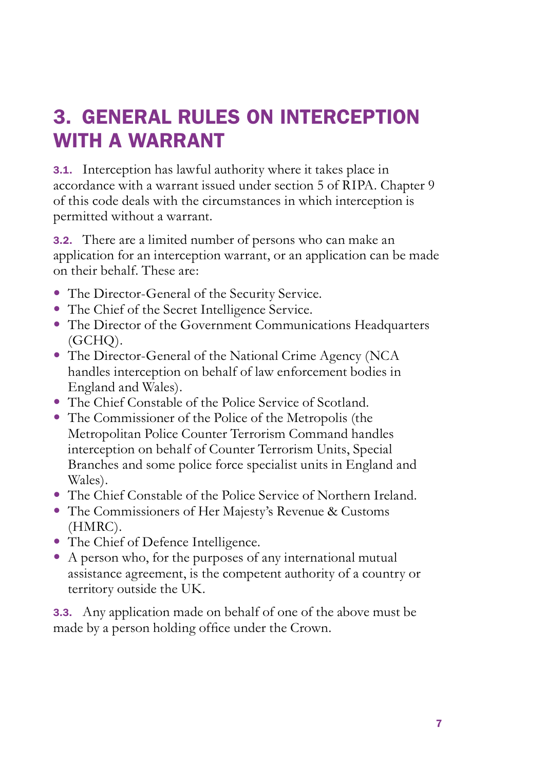## 3. GENERAL RULES ON INTERCEPTION WITH A WARRANT

3.1. Interception has lawful authority where it takes place in accordance with a warrant issued under section 5 of RIPA. Chapter 9 of this code deals with the circumstances in which interception is permitted without a warrant.

3.2. There are a limited number of persons who can make an application for an interception warrant, or an application can be made on their behalf. These are:

- The Director-General of the Security Service.
- The Chief of the Secret Intelligence Service.
- The Director of the Government Communications Headquarters (GCHQ).
- The Director-General of the National Crime Agency (NCA) handles interception on behalf of law enforcement bodies in England and Wales).
- The Chief Constable of the Police Service of Scotland.
- The Commissioner of the Police of the Metropolis (the Metropolitan Police Counter Terrorism Command handles interception on behalf of Counter Terrorism Units, Special Branches and some police force specialist units in England and Wales).
- The Chief Constable of the Police Service of Northern Ireland.
- The Commissioners of Her Majesty's Revenue & Customs (HMRC).
- The Chief of Defence Intelligence.
- A person who, for the purposes of any international mutual assistance agreement, is the competent authority of a country or territory outside the UK.

3.3. Any application made on behalf of one of the above must be made by a person holding office under the Crown.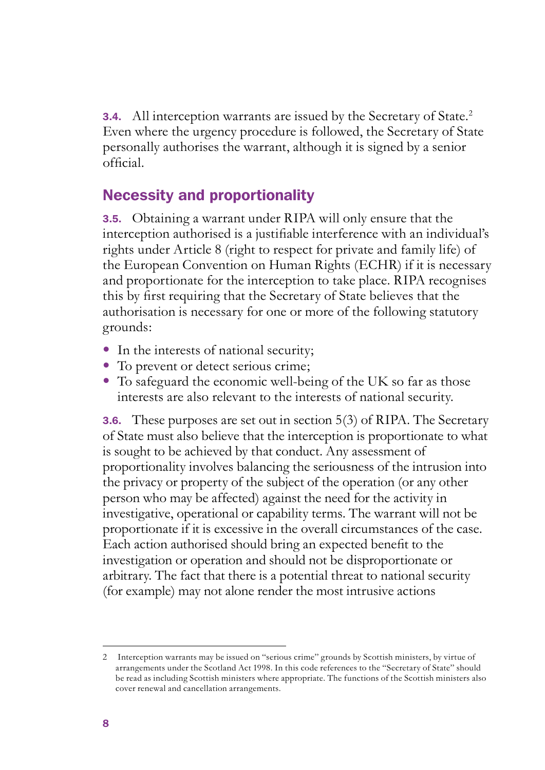**3.4.** All interception warrants are issued by the Secretary of State.<sup>2</sup> Even where the urgency procedure is followed, the Secretary of State personally authorises the warrant, although it is signed by a senior official.

## Necessity and proportionality

3.5. Obtaining a warrant under RIPA will only ensure that the interception authorised is a justifiable interference with an individual's rights under Article 8 (right to respect for private and family life) of the European Convention on Human Rights (ECHR) if it is necessary and proportionate for the interception to take place. RIPA recognises this by first requiring that the Secretary of State believes that the authorisation is necessary for one or more of the following statutory grounds:

- In the interests of national security;
- To prevent or detect serious crime;
- To safeguard the economic well-being of the UK so far as those interests are also relevant to the interests of national security.

**3.6.** These purposes are set out in section 5(3) of RIPA. The Secretary of State must also believe that the interception is proportionate to what is sought to be achieved by that conduct. Any assessment of proportionality involves balancing the seriousness of the intrusion into the privacy or property of the subject of the operation (or any other person who may be affected) against the need for the activity in investigative, operational or capability terms. The warrant will not be proportionate if it is excessive in the overall circumstances of the case. Each action authorised should bring an expected benefit to the investigation or operation and should not be disproportionate or arbitrary. The fact that there is a potential threat to national security (for example) may not alone render the most intrusive actions

<sup>2</sup> Interception warrants may be issued on "serious crime" grounds by Scottish ministers, by virtue of arrangements under the Scotland Act 1998. In this code references to the "Secretary of State" should be read as including Scottish ministers where appropriate. The functions of the Scottish ministers also cover renewal and cancellation arrangements.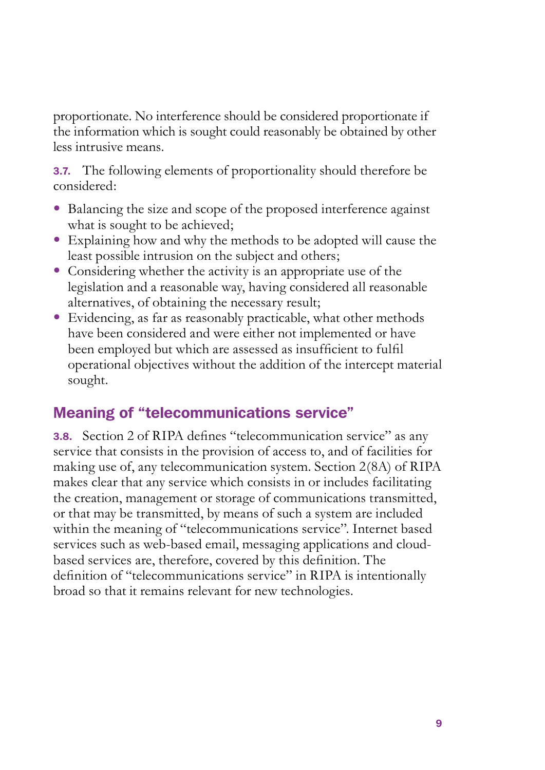proportionate. No interference should be considered proportionate if the information which is sought could reasonably be obtained by other less intrusive means.

3.7. The following elements of proportionality should therefore be considered:

- Balancing the size and scope of the proposed interference against what is sought to be achieved;
- Explaining how and why the methods to be adopted will cause the least possible intrusion on the subject and others;
- Considering whether the activity is an appropriate use of the legislation and a reasonable way, having considered all reasonable alternatives, of obtaining the necessary result;
- Evidencing, as far as reasonably practicable, what other methods have been considered and were either not implemented or have been employed but which are assessed as insufficient to fulfil operational objectives without the addition of the intercept material sought.

## Meaning of "telecommunications service"

3.8. Section 2 of RIPA defines "telecommunication service" as any service that consists in the provision of access to, and of facilities for making use of, any telecommunication system. Section 2(8A) of RIPA makes clear that any service which consists in or includes facilitating the creation, management or storage of communications transmitted, or that may be transmitted, by means of such a system are included within the meaning of "telecommunications service". Internet based services such as web-based email, messaging applications and cloudbased services are, therefore, covered by this definition. The definition of "telecommunications service" in RIPA is intentionally broad so that it remains relevant for new technologies.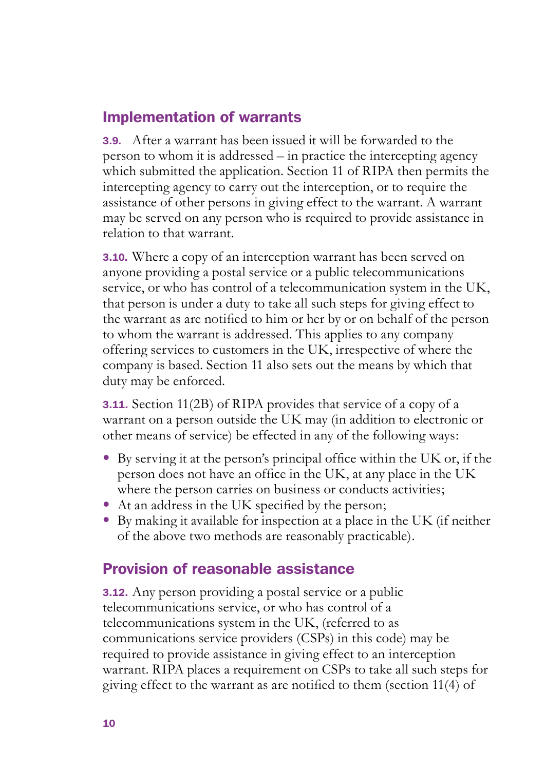## Implementation of warrants

3.9. After a warrant has been issued it will be forwarded to the person to whom it is addressed – in practice the intercepting agency which submitted the application. Section 11 of RIPA then permits the intercepting agency to carry out the interception, or to require the assistance of other persons in giving effect to the warrant. A warrant may be served on any person who is required to provide assistance in relation to that warrant.

3.10. Where a copy of an interception warrant has been served on anyone providing a postal service or a public telecommunications service, or who has control of a telecommunication system in the UK, that person is under a duty to take all such steps for giving effect to the warrant as are notified to him or her by or on behalf of the person to whom the warrant is addressed. This applies to any company offering services to customers in the UK, irrespective of where the company is based. Section 11 also sets out the means by which that duty may be enforced.

3.11. Section 11(2B) of RIPA provides that service of a copy of a warrant on a person outside the UK may (in addition to electronic or other means of service) be effected in any of the following ways:

- By serving it at the person's principal office within the UK or, if the person does not have an office in the UK, at any place in the UK where the person carries on business or conducts activities;
- At an address in the UK specified by the person;
- By making it available for inspection at a place in the UK (if neither of the above two methods are reasonably practicable).

## Provision of reasonable assistance

3.12. Any person providing a postal service or a public telecommunications service, or who has control of a telecommunications system in the UK, (referred to as communications service providers (CSPs) in this code) may be required to provide assistance in giving effect to an interception warrant. RIPA places a requirement on CSPs to take all such steps for giving effect to the warrant as are notified to them (section 11(4) of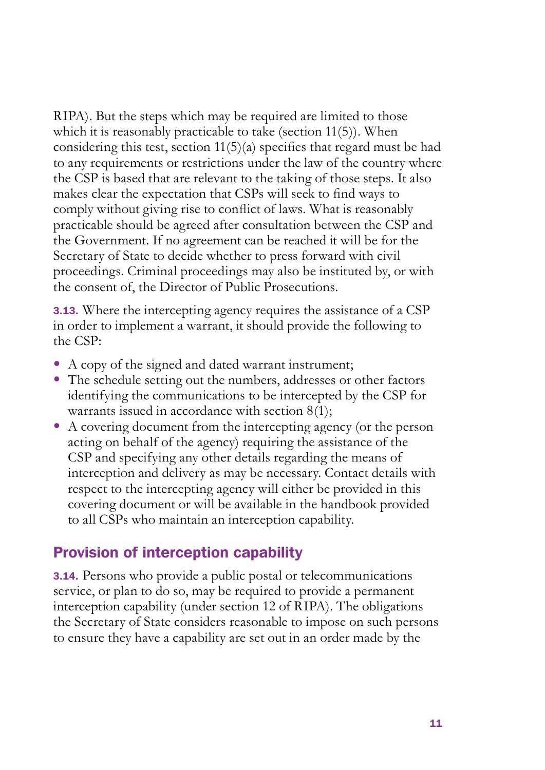RIPA). But the steps which may be required are limited to those which it is reasonably practicable to take (section 11(5)). When considering this test, section 11(5)(a) specifies that regard must be had to any requirements or restrictions under the law of the country where the CSP is based that are relevant to the taking of those steps. It also makes clear the expectation that CSPs will seek to find ways to comply without giving rise to conflict of laws. What is reasonably practicable should be agreed after consultation between the CSP and the Government. If no agreement can be reached it will be for the Secretary of State to decide whether to press forward with civil proceedings. Criminal proceedings may also be instituted by, or with the consent of, the Director of Public Prosecutions.

**3.13.** Where the intercepting agency requires the assistance of a CSP in order to implement a warrant, it should provide the following to the CSP:

- A copy of the signed and dated warrant instrument;
- The schedule setting out the numbers, addresses or other factors identifying the communications to be intercepted by the CSP for warrants issued in accordance with section 8(1);
- A covering document from the intercepting agency (or the person acting on behalf of the agency) requiring the assistance of the CSP and specifying any other details regarding the means of interception and delivery as may be necessary. Contact details with respect to the intercepting agency will either be provided in this covering document or will be available in the handbook provided to all CSPs who maintain an interception capability.

#### Provision of interception capability

3.14. Persons who provide a public postal or telecommunications service, or plan to do so, may be required to provide a permanent interception capability (under section 12 of RIPA). The obligations the Secretary of State considers reasonable to impose on such persons to ensure they have a capability are set out in an order made by the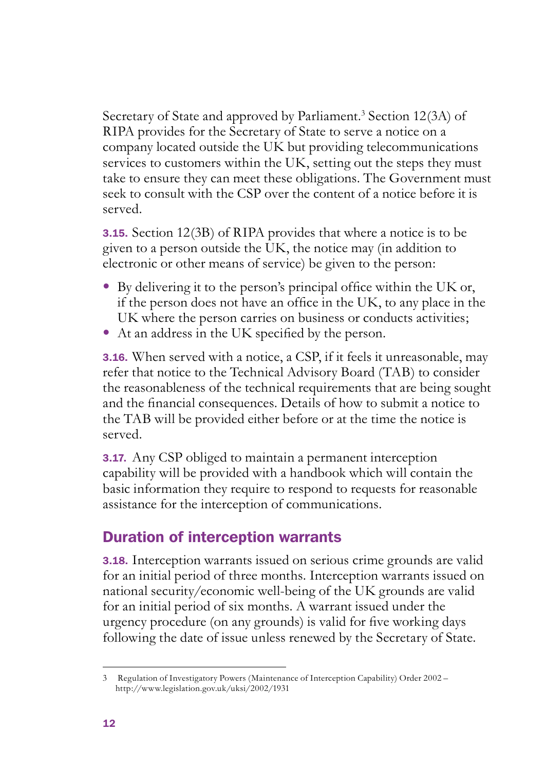Secretary of State and approved by Parliament.<sup>3</sup> Section 12(3A) of RIPA provides for the Secretary of State to serve a notice on a company located outside the UK but providing telecommunications services to customers within the UK, setting out the steps they must take to ensure they can meet these obligations. The Government must seek to consult with the CSP over the content of a notice before it is served.

3.15. Section 12(3B) of RIPA provides that where a notice is to be given to a person outside the UK, the notice may (in addition to electronic or other means of service) be given to the person:

- $\bullet$  By delivering it to the person's principal office within the UK or, if the person does not have an office in the UK, to any place in the UK where the person carries on business or conducts activities;
- At an address in the UK specified by the person.

3.16. When served with a notice, a CSP, if it feels it unreasonable, may refer that notice to the Technical Advisory Board (TAB) to consider the reasonableness of the technical requirements that are being sought and the financial consequences. Details of how to submit a notice to the TAB will be provided either before or at the time the notice is served.

**3.17.** Any CSP obliged to maintain a permanent interception capability will be provided with a handbook which will contain the basic information they require to respond to requests for reasonable assistance for the interception of communications.

## Duration of interception warrants

3.18. Interception warrants issued on serious crime grounds are valid for an initial period of three months. Interception warrants issued on national security/economic well-being of the UK grounds are valid for an initial period of six months. A warrant issued under the urgency procedure (on any grounds) is valid for five working days following the date of issue unless renewed by the Secretary of State.

<sup>3</sup> Regulation of Investigatory Powers (Maintenance of Interception Capability) Order 2002 – http://www.legislation.gov.uk/uksi/2002/1931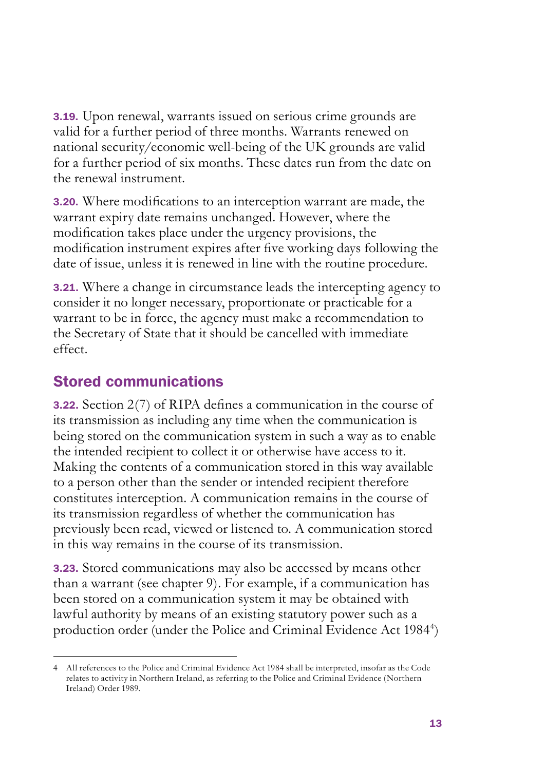3.19. Upon renewal, warrants issued on serious crime grounds are valid for a further period of three months. Warrants renewed on national security/economic well-being of the UK grounds are valid for a further period of six months. These dates run from the date on the renewal instrument.

3.20. Where modifications to an interception warrant are made, the warrant expiry date remains unchanged. However, where the modification takes place under the urgency provisions, the modification instrument expires after five working days following the date of issue, unless it is renewed in line with the routine procedure.

3.21. Where a change in circumstance leads the intercepting agency to consider it no longer necessary, proportionate or practicable for a warrant to be in force, the agency must make a recommendation to the Secretary of State that it should be cancelled with immediate effect.

## Stored communications

3.22. Section 2(7) of RIPA defines a communication in the course of its transmission as including any time when the communication is being stored on the communication system in such a way as to enable the intended recipient to collect it or otherwise have access to it. Making the contents of a communication stored in this way available to a person other than the sender or intended recipient therefore constitutes interception. A communication remains in the course of its transmission regardless of whether the communication has previously been read, viewed or listened to. A communication stored in this way remains in the course of its transmission.

3.23. Stored communications may also be accessed by means other than a warrant (see chapter 9). For example, if a communication has been stored on a communication system it may be obtained with lawful authority by means of an existing statutory power such as a production order (under the Police and Criminal Evidence Act 1984<sup>4</sup>)

All references to the Police and Criminal Evidence Act 1984 shall be interpreted, insofar as the Code 4 relates to activity in Northern Ireland, as referring to the Police and Criminal Evidence (Northern Ireland) Order 1989.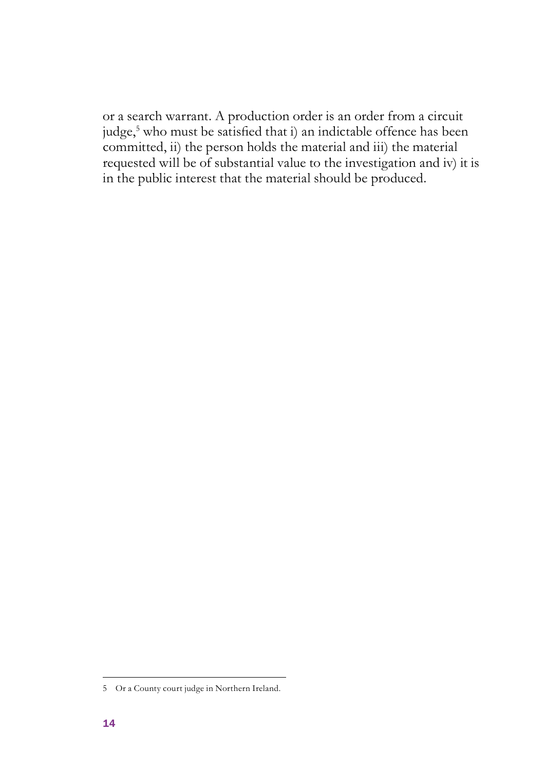or a search warrant. A production order is an order from a circuit judge,<sup>5</sup> who must be satisfied that i) an indictable offence has been committed, ii) the person holds the material and iii) the material requested will be of substantial value to the investigation and iv) it is in the public interest that the material should be produced.

<sup>5</sup> Or a County court judge in Northern Ireland.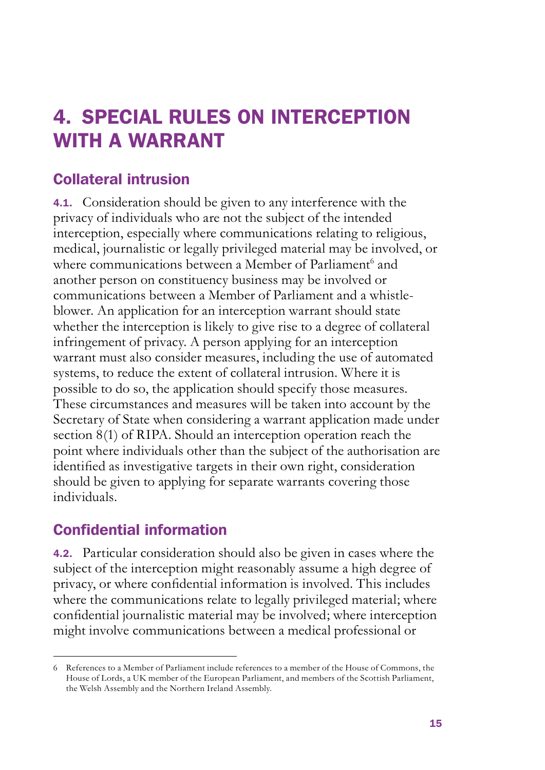## 4. SPECIAL RULES ON INTERCEPTION WITH A WARRANT

## Collateral intrusion

4.1. Consideration should be given to any interference with the privacy of individuals who are not the subject of the intended interception, especially where communications relating to religious, medical, journalistic or legally privileged material may be involved, or where communications between a Member of Parliament<sup>6</sup> and another person on constituency business may be involved or communications between a Member of Parliament and a whistleblower. An application for an interception warrant should state whether the interception is likely to give rise to a degree of collateral infringement of privacy. A person applying for an interception warrant must also consider measures, including the use of automated systems, to reduce the extent of collateral intrusion. Where it is possible to do so, the application should specify those measures. These circumstances and measures will be taken into account by the Secretary of State when considering a warrant application made under section 8(1) of RIPA. Should an interception operation reach the point where individuals other than the subject of the authorisation are identified as investigative targets in their own right, consideration should be given to applying for separate warrants covering those individuals.

## Confidential information

4.2. Particular consideration should also be given in cases where the subject of the interception might reasonably assume a high degree of privacy, or where confidential information is involved. This includes where the communications relate to legally privileged material; where confidential journalistic material may be involved; where interception might involve communications between a medical professional or

References to a Member of Parliament include references to a member of the House of Commons, the 6 House of Lords, a UK member of the European Parliament, and members of the Scottish Parliament, the Welsh Assembly and the Northern Ireland Assembly.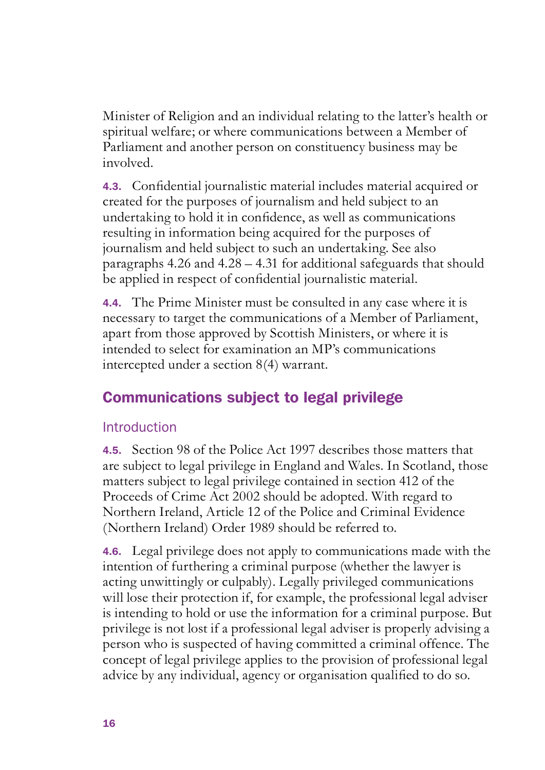Minister of Religion and an individual relating to the latter's health or spiritual welfare; or where communications between a Member of Parliament and another person on constituency business may be involved.

4.3. Confidential journalistic material includes material acquired or created for the purposes of journalism and held subject to an undertaking to hold it in confidence, as well as communications resulting in information being acquired for the purposes of journalism and held subject to such an undertaking. See also paragraphs 4.26 and 4.28 – 4.31 for additional safeguards that should be applied in respect of confidential journalistic material.

4.4. The Prime Minister must be consulted in any case where it is necessary to target the communications of a Member of Parliament, apart from those approved by Scottish Ministers, or where it is intended to select for examination an MP's communications intercepted under a section 8(4) warrant.

## Communications subject to legal privilege

## **Introduction**

4.5. Section 98 of the Police Act 1997 describes those matters that are subject to legal privilege in England and Wales. In Scotland, those matters subject to legal privilege contained in section 412 of the Proceeds of Crime Act 2002 should be adopted. With regard to Northern Ireland, Article 12 of the Police and Criminal Evidence (Northern Ireland) Order 1989 should be referred to.

4.6. Legal privilege does not apply to communications made with the intention of furthering a criminal purpose (whether the lawyer is acting unwittingly or culpably). Legally privileged communications will lose their protection if, for example, the professional legal adviser is intending to hold or use the information for a criminal purpose. But privilege is not lost if a professional legal adviser is properly advising a person who is suspected of having committed a criminal offence. The concept of legal privilege applies to the provision of professional legal advice by any individual, agency or organisation qualified to do so.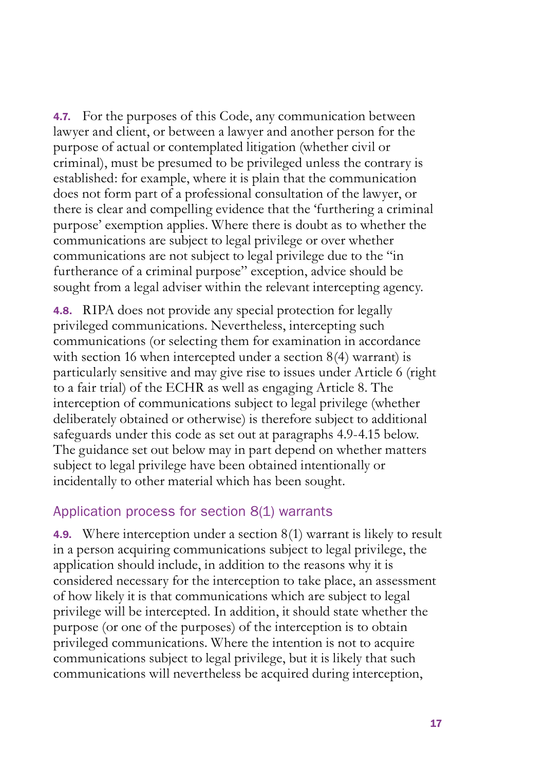4.7. For the purposes of this Code, any communication between lawyer and client, or between a lawyer and another person for the purpose of actual or contemplated litigation (whether civil or criminal), must be presumed to be privileged unless the contrary is established: for example, where it is plain that the communication does not form part of a professional consultation of the lawyer, or there is clear and compelling evidence that the 'furthering a criminal purpose' exemption applies. Where there is doubt as to whether the communications are subject to legal privilege or over whether communications are not subject to legal privilege due to the "in furtherance of a criminal purpose" exception, advice should be sought from a legal adviser within the relevant intercepting agency.

4.8. RIPA does not provide any special protection for legally privileged communications. Nevertheless, intercepting such communications (or selecting them for examination in accordance with section 16 when intercepted under a section 8(4) warrant) is particularly sensitive and may give rise to issues under Article 6 (right to a fair trial) of the ECHR as well as engaging Article 8. The interception of communications subject to legal privilege (whether deliberately obtained or otherwise) is therefore subject to additional safeguards under this code as set out at paragraphs 4.9-4.15 below. The guidance set out below may in part depend on whether matters subject to legal privilege have been obtained intentionally or incidentally to other material which has been sought.

#### Application process for section 8(1) warrants

4.9. Where interception under a section 8(1) warrant is likely to result in a person acquiring communications subject to legal privilege, the application should include, in addition to the reasons why it is considered necessary for the interception to take place, an assessment of how likely it is that communications which are subject to legal privilege will be intercepted. In addition, it should state whether the purpose (or one of the purposes) of the interception is to obtain privileged communications. Where the intention is not to acquire communications subject to legal privilege, but it is likely that such communications will nevertheless be acquired during interception,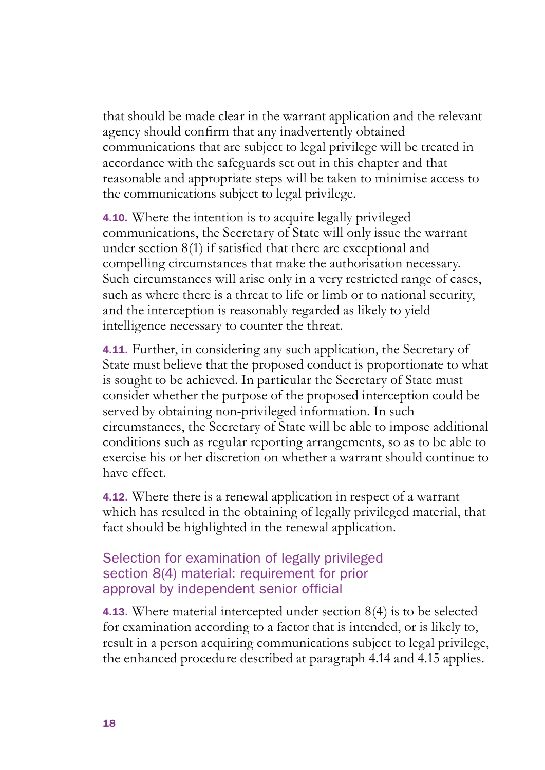that should be made clear in the warrant application and the relevant agency should confirm that any inadvertently obtained communications that are subject to legal privilege will be treated in accordance with the safeguards set out in this chapter and that reasonable and appropriate steps will be taken to minimise access to the communications subject to legal privilege.

4.10. Where the intention is to acquire legally privileged communications, the Secretary of State will only issue the warrant under section 8(1) if satisfied that there are exceptional and compelling circumstances that make the authorisation necessary. Such circumstances will arise only in a very restricted range of cases, such as where there is a threat to life or limb or to national security, and the interception is reasonably regarded as likely to yield intelligence necessary to counter the threat.

4.11. Further, in considering any such application, the Secretary of State must believe that the proposed conduct is proportionate to what is sought to be achieved. In particular the Secretary of State must consider whether the purpose of the proposed interception could be served by obtaining non-privileged information. In such circumstances, the Secretary of State will be able to impose additional conditions such as regular reporting arrangements, so as to be able to exercise his or her discretion on whether a warrant should continue to have effect.

4.12. Where there is a renewal application in respect of a warrant which has resulted in the obtaining of legally privileged material, that fact should be highlighted in the renewal application.

#### Selection for examination of legally privileged section 8(4) material: requirement for prior approval by independent senior official

4.13. Where material intercepted under section 8(4) is to be selected for examination according to a factor that is intended, or is likely to, result in a person acquiring communications subject to legal privilege, the enhanced procedure described at paragraph 4.14 and 4.15 applies.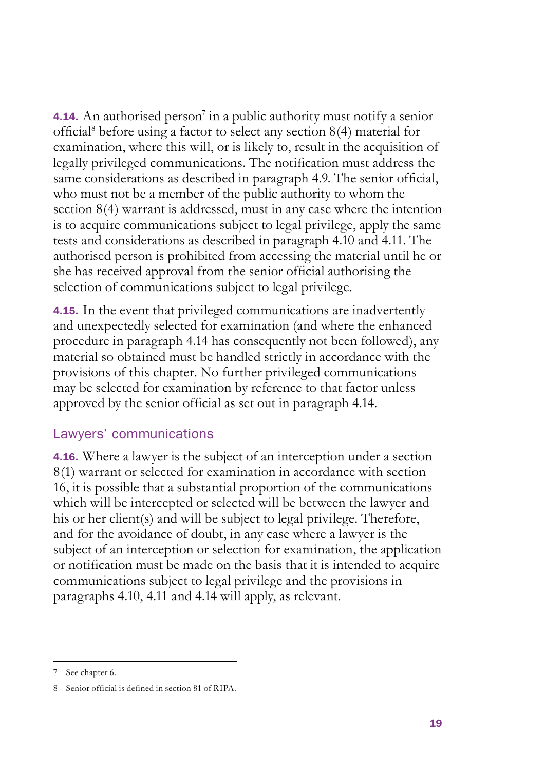4.14. An authorised person<sup>7</sup> in a public authority must notify a senior official<sup>8</sup> before using a factor to select any section 8(4) material for examination, where this will, or is likely to, result in the acquisition of legally privileged communications. The notification must address the same considerations as described in paragraph 4.9. The senior official, who must not be a member of the public authority to whom the section 8(4) warrant is addressed, must in any case where the intention is to acquire communications subject to legal privilege, apply the same tests and considerations as described in paragraph 4.10 and 4.11. The authorised person is prohibited from accessing the material until he or she has received approval from the senior official authorising the selection of communications subject to legal privilege.

4.15. In the event that privileged communications are inadvertently and unexpectedly selected for examination (and where the enhanced procedure in paragraph 4.14 has consequently not been followed), any material so obtained must be handled strictly in accordance with the provisions of this chapter. No further privileged communications may be selected for examination by reference to that factor unless approved by the senior official as set out in paragraph 4.14.

#### Lawyers' communications

4.16. Where a lawyer is the subject of an interception under a section 8(1) warrant or selected for examination in accordance with section 16, it is possible that a substantial proportion of the communications which will be intercepted or selected will be between the lawyer and his or her client(s) and will be subject to legal privilege. Therefore, and for the avoidance of doubt, in any case where a lawyer is the subject of an interception or selection for examination, the application or notification must be made on the basis that it is intended to acquire communications subject to legal privilege and the provisions in paragraphs 4.10, 4.11 and 4.14 will apply, as relevant.

<sup>7</sup> See chapter 6.

<sup>8</sup> Senior official is defined in section 81 of RIPA.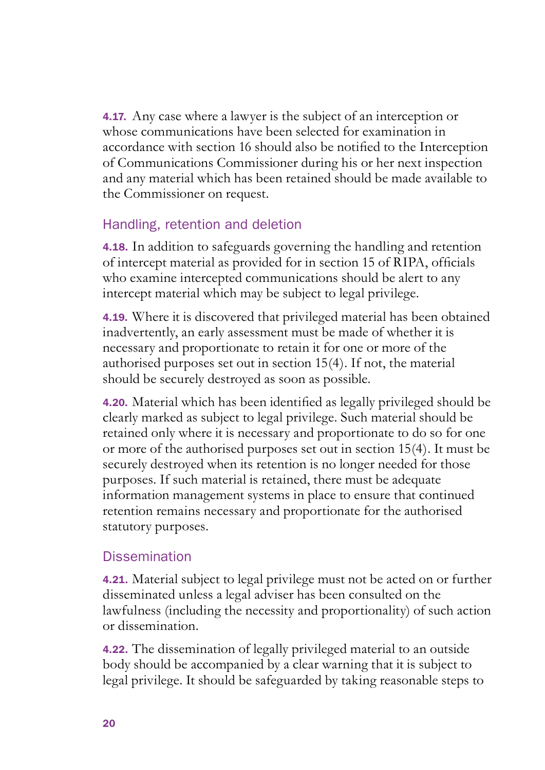4.17. Any case where a lawyer is the subject of an interception or whose communications have been selected for examination in accordance with section 16 should also be notified to the Interception of Communications Commissioner during his or her next inspection and any material which has been retained should be made available to the Commissioner on request.

#### Handling, retention and deletion

4.18. In addition to safeguards governing the handling and retention of intercept material as provided for in section 15 of RIPA, officials who examine intercepted communications should be alert to any intercept material which may be subject to legal privilege.

4.19. Where it is discovered that privileged material has been obtained inadvertently, an early assessment must be made of whether it is necessary and proportionate to retain it for one or more of the authorised purposes set out in section 15(4). If not, the material should be securely destroyed as soon as possible.

4.20. Material which has been identified as legally privileged should be clearly marked as subject to legal privilege. Such material should be retained only where it is necessary and proportionate to do so for one or more of the authorised purposes set out in section 15(4). It must be securely destroyed when its retention is no longer needed for those purposes. If such material is retained, there must be adequate information management systems in place to ensure that continued retention remains necessary and proportionate for the authorised statutory purposes.

#### Dissemination

4.21. Material subject to legal privilege must not be acted on or further disseminated unless a legal adviser has been consulted on the lawfulness (including the necessity and proportionality) of such action or dissemination.

4.22. The dissemination of legally privileged material to an outside body should be accompanied by a clear warning that it is subject to legal privilege. It should be safeguarded by taking reasonable steps to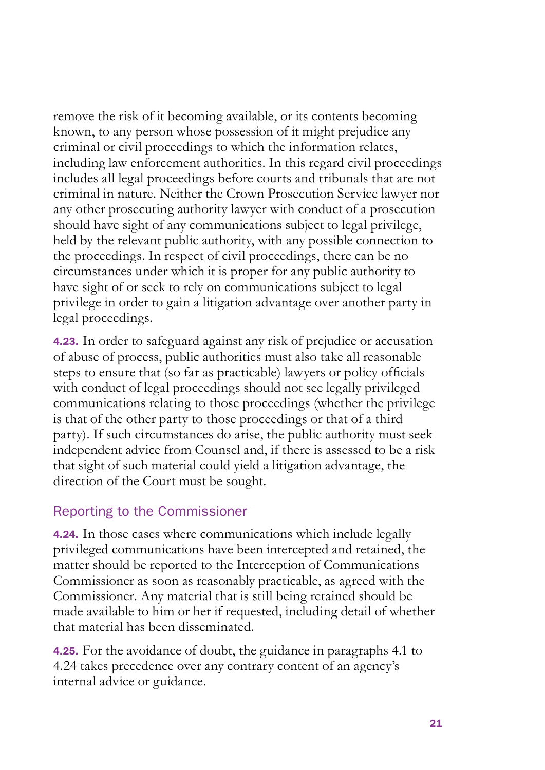remove the risk of it becoming available, or its contents becoming known, to any person whose possession of it might prejudice any criminal or civil proceedings to which the information relates, including law enforcement authorities. In this regard civil proceedings includes all legal proceedings before courts and tribunals that are not criminal in nature. Neither the Crown Prosecution Service lawyer nor any other prosecuting authority lawyer with conduct of a prosecution should have sight of any communications subject to legal privilege, held by the relevant public authority, with any possible connection to the proceedings. In respect of civil proceedings, there can be no circumstances under which it is proper for any public authority to have sight of or seek to rely on communications subject to legal privilege in order to gain a litigation advantage over another party in legal proceedings.

4.23. In order to safeguard against any risk of prejudice or accusation of abuse of process, public authorities must also take all reasonable steps to ensure that (so far as practicable) lawyers or policy officials with conduct of legal proceedings should not see legally privileged communications relating to those proceedings (whether the privilege is that of the other party to those proceedings or that of a third party). If such circumstances do arise, the public authority must seek independent advice from Counsel and, if there is assessed to be a risk that sight of such material could yield a litigation advantage, the direction of the Court must be sought.

#### Reporting to the Commissioner

4.24. In those cases where communications which include legally privileged communications have been intercepted and retained, the matter should be reported to the Interception of Communications Commissioner as soon as reasonably practicable, as agreed with the Commissioner. Any material that is still being retained should be made available to him or her if requested, including detail of whether that material has been disseminated.

4.25. For the avoidance of doubt, the guidance in paragraphs 4.1 to 4.24 takes precedence over any contrary content of an agency's internal advice or guidance.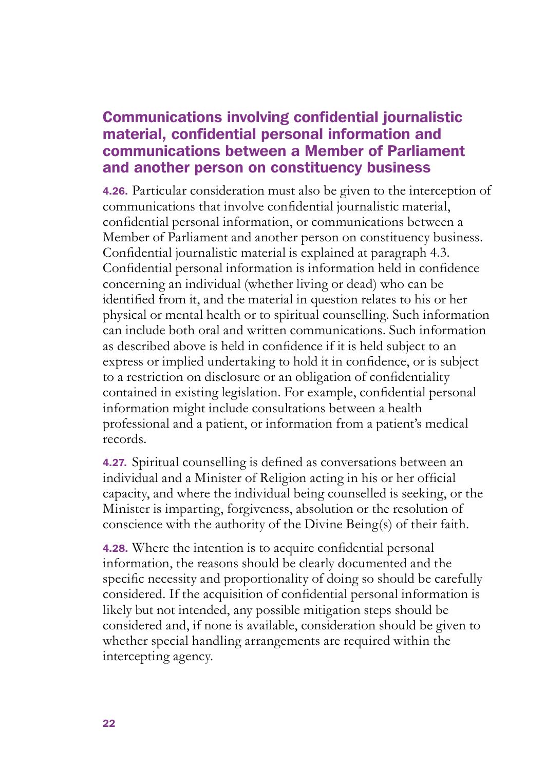#### Communications involving confidential journalistic material, confidential personal information and communications between a Member of Parliament and another person on constituency business

4.26. Particular consideration must also be given to the interception of communications that involve confidential journalistic material, confidential personal information, or communications between a Member of Parliament and another person on constituency business. Confidential journalistic material is explained at paragraph 4.3. Confidential personal information is information held in confidence concerning an individual (whether living or dead) who can be identified from it, and the material in question relates to his or her physical or mental health or to spiritual counselling. Such information can include both oral and written communications. Such information as described above is held in confidence if it is held subject to an express or implied undertaking to hold it in confidence, or is subject to a restriction on disclosure or an obligation of confidentiality contained in existing legislation. For example, confidential personal information might include consultations between a health professional and a patient, or information from a patient's medical records.

4.27. Spiritual counselling is defined as conversations between an individual and a Minister of Religion acting in his or her official capacity, and where the individual being counselled is seeking, or the Minister is imparting, forgiveness, absolution or the resolution of conscience with the authority of the Divine Being(s) of their faith.

4.28. Where the intention is to acquire confidential personal information, the reasons should be clearly documented and the specific necessity and proportionality of doing so should be carefully considered. If the acquisition of confidential personal information is likely but not intended, any possible mitigation steps should be considered and, if none is available, consideration should be given to whether special handling arrangements are required within the intercepting agency.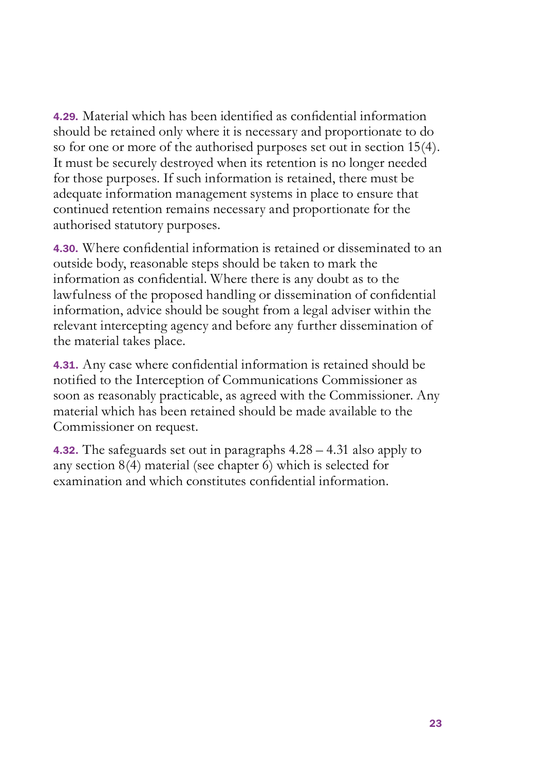4.29. Material which has been identified as confidential information should be retained only where it is necessary and proportionate to do so for one or more of the authorised purposes set out in section 15(4). It must be securely destroyed when its retention is no longer needed for those purposes. If such information is retained, there must be adequate information management systems in place to ensure that continued retention remains necessary and proportionate for the authorised statutory purposes.

4.30. Where confidential information is retained or disseminated to an outside body, reasonable steps should be taken to mark the information as confidential. Where there is any doubt as to the lawfulness of the proposed handling or dissemination of confidential information, advice should be sought from a legal adviser within the relevant intercepting agency and before any further dissemination of the material takes place.

4.31. Any case where confidential information is retained should be notified to the Interception of Communications Commissioner as soon as reasonably practicable, as agreed with the Commissioner. Any material which has been retained should be made available to the Commissioner on request.

4.32. The safeguards set out in paragraphs 4.28 – 4.31 also apply to any section 8(4) material (see chapter 6) which is selected for examination and which constitutes confidential information.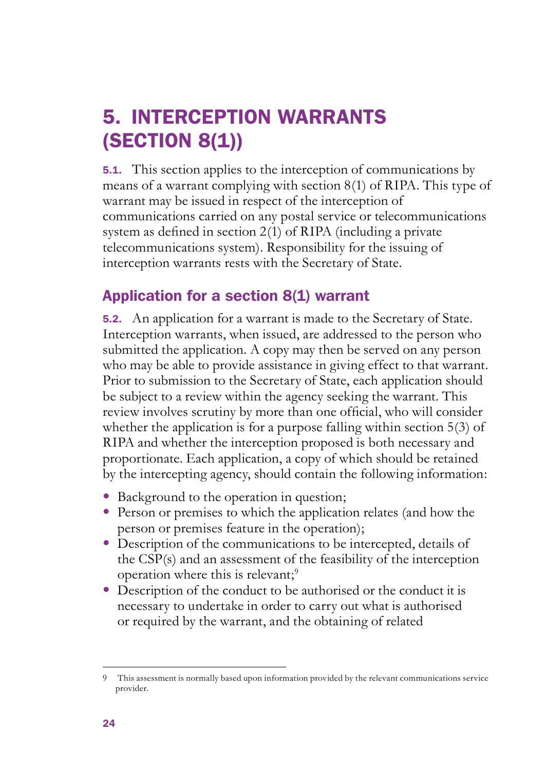## 5. INTERCEPTION WARRANTS (SECTION 8(1))

5.1. This section applies to the interception of communications by means of a warrant complying with section 8(1) of RIPA. This type of warrant may be issued in respect of the interception of communications carried on any postal service or telecommunications system as defined in section  $2(1)$  of RIPA (including a private telecommunications system). Responsibility for the issuing of interception warrants rests with the Secretary of State.

## Application for a section 8(1) warrant

5.2. An application for a warrant is made to the Secretary of State. Interception warrants, when issued, are addressed to the person who submitted the application. A copy may then be served on any person who may be able to provide assistance in giving effect to that warrant. Prior to submission to the Secretary of State, each application should be subject to a review within the agency seeking the warrant. This review involves scrutiny by more than one official, who will consider whether the application is for a purpose falling within section 5(3) of RIPA and whether the interception proposed is both necessary and proportionate. Each application, a copy of which should be retained by the intercepting agency, should contain the following information:

- Background to the operation in question;
- Person or premises to which the application relates (and how the person or premises feature in the operation);
- Description of the communications to be intercepted, details of the CSP(s) and an assessment of the feasibility of the interception operation where this is relevant;<sup>9</sup>
- Description of the conduct to be authorised or the conduct it is necessary to undertake in order to carry out what is authorised or required by the warrant, and the obtaining of related

<sup>9</sup> This assessment is normally based upon information provided by the relevant communications service provider.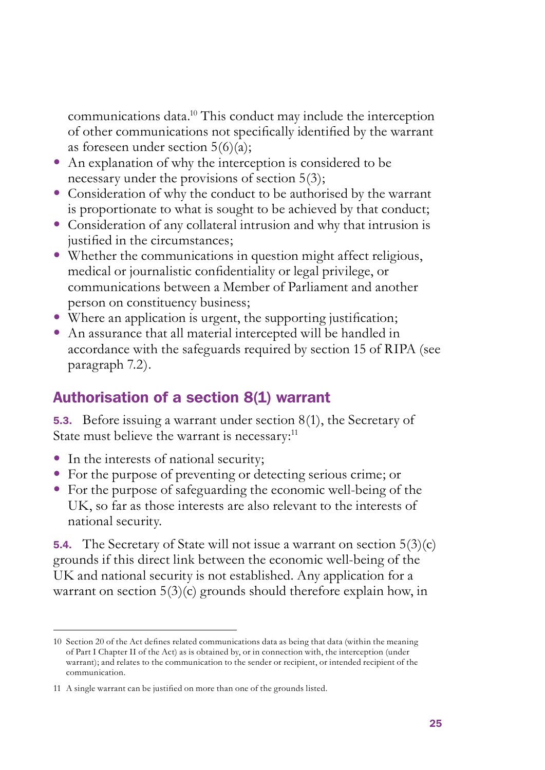communications data.10 This conduct may include the interception of other communications not specifically identified by the warrant as foreseen under section  $5(6)(a)$ ;

- An explanation of why the interception is considered to be necessary under the provisions of section 5(3);
- Consideration of why the conduct to be authorised by the warrant is proportionate to what is sought to be achieved by that conduct;
- Consideration of any collateral intrusion and why that intrusion is justified in the circumstances;
- Whether the communications in question might affect religious, medical or journalistic confidentiality or legal privilege, or communications between a Member of Parliament and another person on constituency business;
- Where an application is urgent, the supporting justification;
- An assurance that all material intercepted will be handled in accordance with the safeguards required by section 15 of RIPA (see paragraph 7.2).

#### Authorisation of a section 8(1) warrant

5.3. Before issuing a warrant under section 8(1), the Secretary of State must believe the warrant is necessary:<sup>11</sup>

- In the interests of national security;
- For the purpose of preventing or detecting serious crime; or
- For the purpose of safeguarding the economic well-being of the UK, so far as those interests are also relevant to the interests of national security.

**5.4.** The Secretary of State will not issue a warrant on section  $5(3)(c)$ grounds if this direct link between the economic well-being of the UK and national security is not established. Any application for a warrant on section 5(3)(c) grounds should therefore explain how, in

<sup>10</sup> Section 20 of the Act defines related communications data as being that data (within the meaning of Part I Chapter II of the Act) as is obtained by, or in connection with, the interception (under warrant); and relates to the communication to the sender or recipient, or intended recipient of the communication.

<sup>11</sup> A single warrant can be justified on more than one of the grounds listed.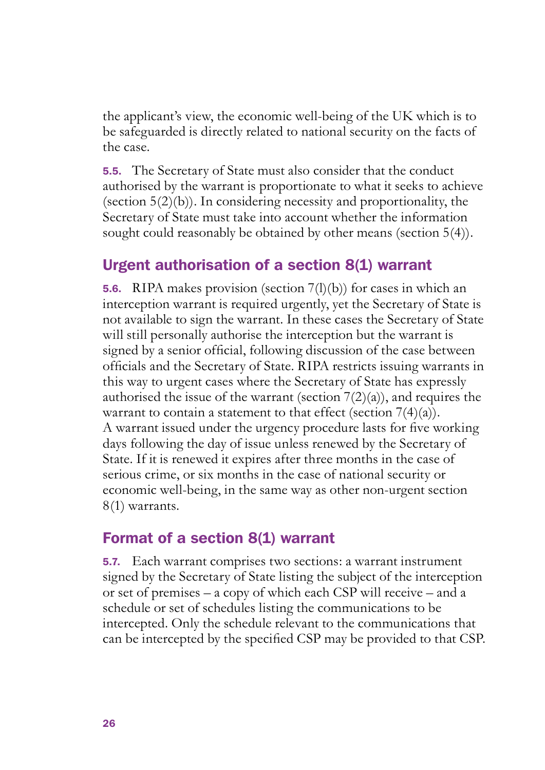the applicant's view, the economic well-being of the UK which is to be safeguarded is directly related to national security on the facts of the case.

5.5. The Secretary of State must also consider that the conduct authorised by the warrant is proportionate to what it seeks to achieve (section  $5(2)(b)$ ). In considering necessity and proportionality, the Secretary of State must take into account whether the information sought could reasonably be obtained by other means (section 5(4)).

#### Urgent authorisation of a section 8(1) warrant

**5.6.** RIPA makes provision (section  $7(1)(b)$ ) for cases in which an interception warrant is required urgently, yet the Secretary of State is not available to sign the warrant. In these cases the Secretary of State will still personally authorise the interception but the warrant is signed by a senior official, following discussion of the case between officials and the Secretary of State. RIPA restricts issuing warrants in this way to urgent cases where the Secretary of State has expressly authorised the issue of the warrant (section  $7(2)(a)$ ), and requires the warrant to contain a statement to that effect (section  $7(4)(a)$ ). A warrant issued under the urgency procedure lasts for five working days following the day of issue unless renewed by the Secretary of State. If it is renewed it expires after three months in the case of serious crime, or six months in the case of national security or economic well-being, in the same way as other non-urgent section 8(1) warrants.

#### Format of a section 8(1) warrant

5.7. Each warrant comprises two sections: a warrant instrument signed by the Secretary of State listing the subject of the interception or set of premises – a copy of which each CSP will receive – and a schedule or set of schedules listing the communications to be intercepted. Only the schedule relevant to the communications that can be intercepted by the specified CSP may be provided to that CSP.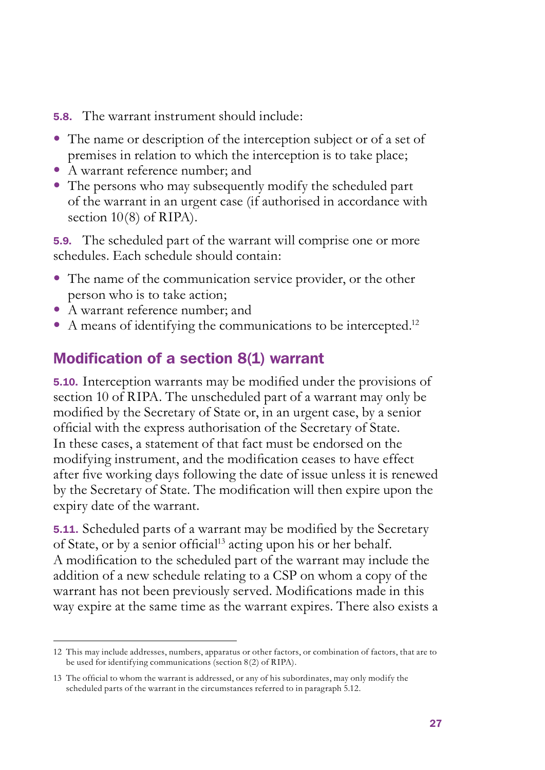5.8. The warrant instrument should include:

- The name or description of the interception subject or of a set of premises in relation to which the interception is to take place;
- • A warrant reference number; and
- The persons who may subsequently modify the scheduled part of the warrant in an urgent case (if authorised in accordance with section 10(8) of RIPA).

5.9. The scheduled part of the warrant will comprise one or more schedules. Each schedule should contain:

- The name of the communication service provider, or the other person who is to take action;
- • A warrant reference number; and
- $\bullet$  A means of identifying the communications to be intercepted.<sup>12</sup>

## Modification of a section 8(1) warrant

5.10. Interception warrants may be modified under the provisions of section 10 of RIPA. The unscheduled part of a warrant may only be modified by the Secretary of State or, in an urgent case, by a senior official with the express authorisation of the Secretary of State. In these cases, a statement of that fact must be endorsed on the modifying instrument, and the modification ceases to have effect after five working days following the date of issue unless it is renewed by the Secretary of State. The modification will then expire upon the expiry date of the warrant.

5.11. Scheduled parts of a warrant may be modified by the Secretary of State, or by a senior official<sup>13</sup> acting upon his or her behalf. A modification to the scheduled part of the warrant may include the addition of a new schedule relating to a CSP on whom a copy of the warrant has not been previously served. Modifications made in this way expire at the same time as the warrant expires. There also exists a

<sup>12</sup> This may include addresses, numbers, apparatus or other factors, or combination of factors, that are to be used for identifying communications (section 8(2) of RIPA).

<sup>13</sup> The official to whom the warrant is addressed, or any of his subordinates, may only modify the scheduled parts of the warrant in the circumstances referred to in paragraph 5.12.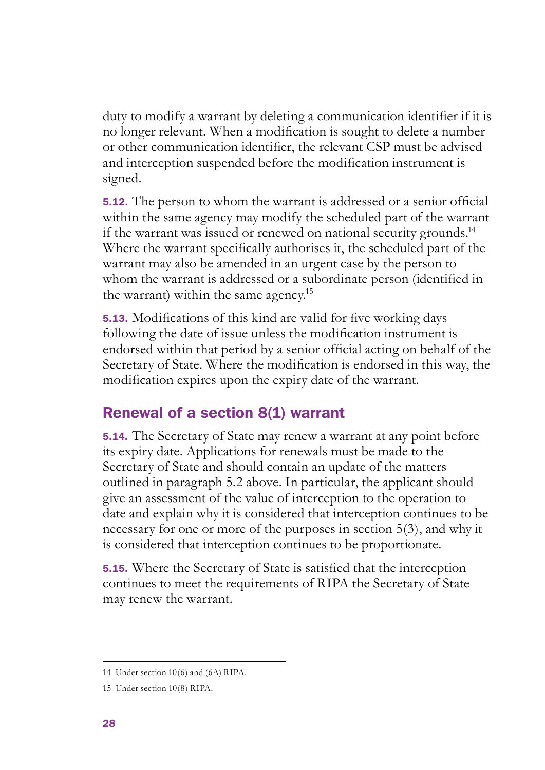duty to modify a warrant by deleting a communication identifier if it is no longer relevant. When a modification is sought to delete a number or other communication identifier, the relevant CSP must be advised and interception suspended before the modification instrument is signed.

5.12. The person to whom the warrant is addressed or a senior official within the same agency may modify the scheduled part of the warrant if the warrant was issued or renewed on national security grounds.<sup>14</sup> Where the warrant specifically authorises it, the scheduled part of the warrant may also be amended in an urgent case by the person to whom the warrant is addressed or a subordinate person (identified in the warrant) within the same agency.15

5.13. Modifications of this kind are valid for five working days following the date of issue unless the modification instrument is endorsed within that period by a senior official acting on behalf of the Secretary of State. Where the modification is endorsed in this way, the modification expires upon the expiry date of the warrant.

## Renewal of a section 8(1) warrant

5.14. The Secretary of State may renew a warrant at any point before its expiry date. Applications for renewals must be made to the Secretary of State and should contain an update of the matters outlined in paragraph 5.2 above. In particular, the applicant should give an assessment of the value of interception to the operation to date and explain why it is considered that interception continues to be necessary for one or more of the purposes in section 5(3), and why it is considered that interception continues to be proportionate.

5.15. Where the Secretary of State is satisfied that the interception continues to meet the requirements of RIPA the Secretary of State may renew the warrant.

<sup>14</sup> Under section 10(6) and (6A) RIPA.

<sup>15</sup> Under section 10(8) RIPA.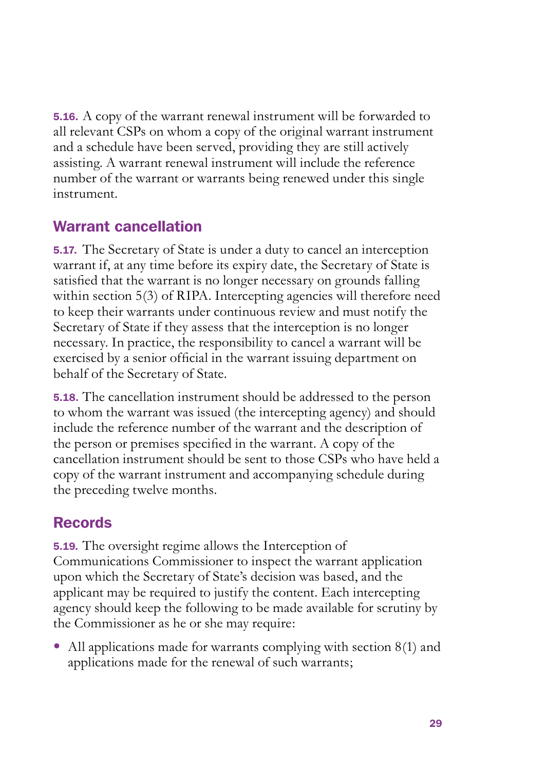5.16. A copy of the warrant renewal instrument will be forwarded to all relevant CSPs on whom a copy of the original warrant instrument and a schedule have been served, providing they are still actively assisting. A warrant renewal instrument will include the reference number of the warrant or warrants being renewed under this single instrument.

### Warrant cancellation

5.17. The Secretary of State is under a duty to cancel an interception warrant if, at any time before its expiry date, the Secretary of State is satisfied that the warrant is no longer necessary on grounds falling within section 5(3) of RIPA. Intercepting agencies will therefore need to keep their warrants under continuous review and must notify the Secretary of State if they assess that the interception is no longer necessary. In practice, the responsibility to cancel a warrant will be exercised by a senior official in the warrant issuing department on behalf of the Secretary of State.

5.18. The cancellation instrument should be addressed to the person to whom the warrant was issued (the intercepting agency) and should include the reference number of the warrant and the description of the person or premises specified in the warrant. A copy of the cancellation instrument should be sent to those CSPs who have held a copy of the warrant instrument and accompanying schedule during the preceding twelve months.

## Records

5.19. The oversight regime allows the Interception of Communications Commissioner to inspect the warrant application upon which the Secretary of State's decision was based, and the applicant may be required to justify the content. Each intercepting agency should keep the following to be made available for scrutiny by the Commissioner as he or she may require:

• All applications made for warrants complying with section  $8(1)$  and applications made for the renewal of such warrants;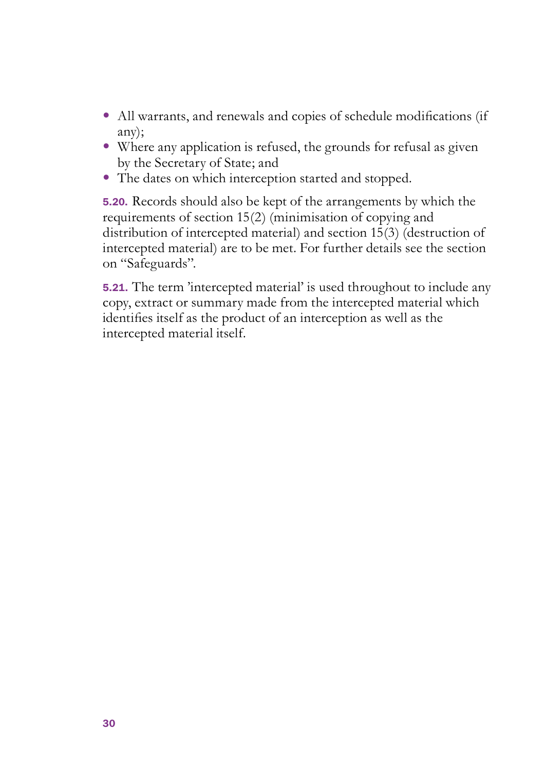- All warrants, and renewals and copies of schedule modifications (if any);
- Where any application is refused, the grounds for refusal as given by the Secretary of State; and
- The dates on which interception started and stopped.

5.20. Records should also be kept of the arrangements by which the requirements of section 15(2) (minimisation of copying and distribution of intercepted material) and section 15(3) (destruction of intercepted material) are to be met. For further details see the section on "Safeguards".

5.21. The term 'intercepted material' is used throughout to include any copy, extract or summary made from the intercepted material which identifies itself as the product of an interception as well as the intercepted material itself.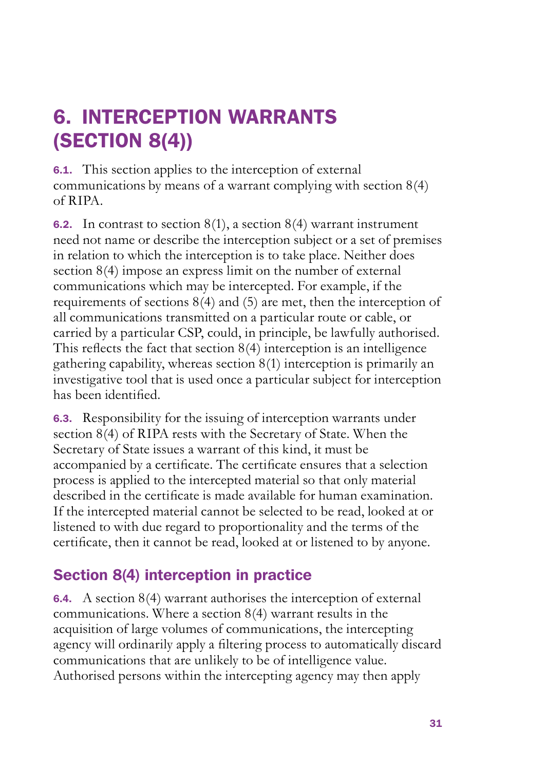## 6. INTERCEPTION WARRANTS (SECTION 8(4))

6.1. This section applies to the interception of external communications by means of a warrant complying with section 8(4) of RIPA.

**6.2.** In contrast to section  $8(1)$ , a section  $8(4)$  warrant instrument need not name or describe the interception subject or a set of premises in relation to which the interception is to take place. Neither does section 8(4) impose an express limit on the number of external communications which may be intercepted. For example, if the requirements of sections 8(4) and (5) are met, then the interception of all communications transmitted on a particular route or cable, or carried by a particular CSP, could, in principle, be lawfully authorised. This reflects the fact that section 8(4) interception is an intelligence gathering capability, whereas section 8(1) interception is primarily an investigative tool that is used once a particular subject for interception has been identified.

6.3. Responsibility for the issuing of interception warrants under section 8(4) of RIPA rests with the Secretary of State. When the Secretary of State issues a warrant of this kind, it must be accompanied by a certificate. The certificate ensures that a selection process is applied to the intercepted material so that only material described in the certificate is made available for human examination. If the intercepted material cannot be selected to be read, looked at or listened to with due regard to proportionality and the terms of the certificate, then it cannot be read, looked at or listened to by anyone.

## Section 8(4) interception in practice

6.4. A section 8(4) warrant authorises the interception of external communications. Where a section 8(4) warrant results in the acquisition of large volumes of communications, the intercepting agency will ordinarily apply a filtering process to automatically discard communications that are unlikely to be of intelligence value. Authorised persons within the intercepting agency may then apply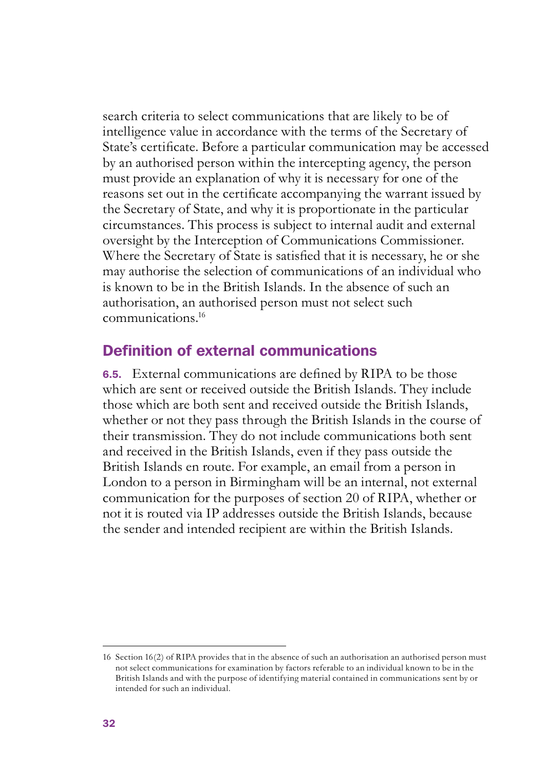search criteria to select communications that are likely to be of intelligence value in accordance with the terms of the Secretary of State's certificate. Before a particular communication may be accessed by an authorised person within the intercepting agency, the person must provide an explanation of why it is necessary for one of the reasons set out in the certificate accompanying the warrant issued by the Secretary of State, and why it is proportionate in the particular circumstances. This process is subject to internal audit and external oversight by the Interception of Communications Commissioner. Where the Secretary of State is satisfied that it is necessary, he or she may authorise the selection of communications of an individual who is known to be in the British Islands. In the absence of such an authorisation, an authorised person must not select such communications.16

#### Definition of external communications

6.5. External communications are defined by RIPA to be those which are sent or received outside the British Islands. They include those which are both sent and received outside the British Islands, whether or not they pass through the British Islands in the course of their transmission. They do not include communications both sent and received in the British Islands, even if they pass outside the British Islands en route. For example, an email from a person in London to a person in Birmingham will be an internal, not external communication for the purposes of section 20 of RIPA, whether or not it is routed via IP addresses outside the British Islands, because the sender and intended recipient are within the British Islands.

<sup>16</sup> Section 16(2) of RIPA provides that in the absence of such an authorisation an authorised person must not select communications for examination by factors referable to an individual known to be in the British Islands and with the purpose of identifying material contained in communications sent by or intended for such an individual.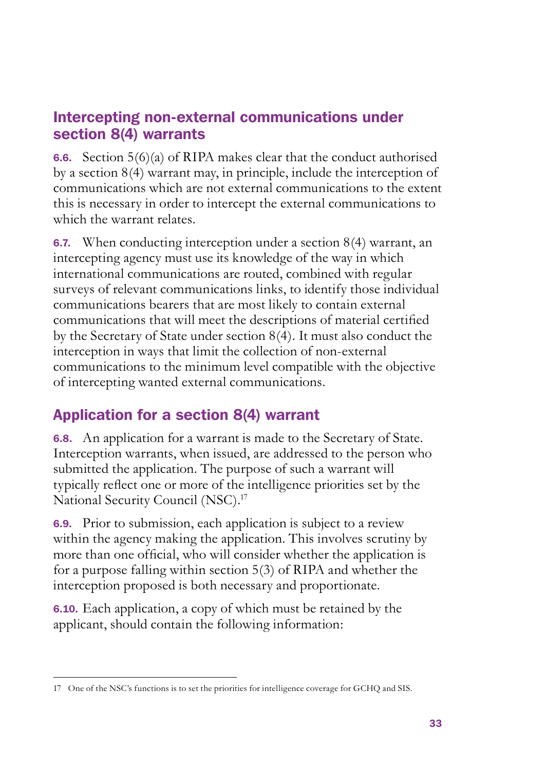### Intercepting non-external communications under section 8(4) warrants

**6.6.** Section  $5(6)(a)$  of RIPA makes clear that the conduct authorised by a section 8(4) warrant may, in principle, include the interception of communications which are not external communications to the extent this is necessary in order to intercept the external communications to which the warrant relates.

6.7. When conducting interception under a section 8(4) warrant, an intercepting agency must use its knowledge of the way in which international communications are routed, combined with regular surveys of relevant communications links, to identify those individual communications bearers that are most likely to contain external communications that will meet the descriptions of material certified by the Secretary of State under section 8(4). It must also conduct the interception in ways that limit the collection of non-external communications to the minimum level compatible with the objective of intercepting wanted external communications.

## Application for a section 8(4) warrant

6.8. An application for a warrant is made to the Secretary of State. Interception warrants, when issued, are addressed to the person who submitted the application. The purpose of such a warrant will typically reflect one or more of the intelligence priorities set by the National Security Council (NSC).<sup>17</sup>

6.9. Prior to submission, each application is subject to a review within the agency making the application. This involves scrutiny by more than one official, who will consider whether the application is for a purpose falling within section 5(3) of RIPA and whether the interception proposed is both necessary and proportionate.

6.10. Each application, a copy of which must be retained by the applicant, should contain the following information:

<sup>17</sup> One of the NSC's functions is to set the priorities for intelligence coverage for GCHQ and SIS.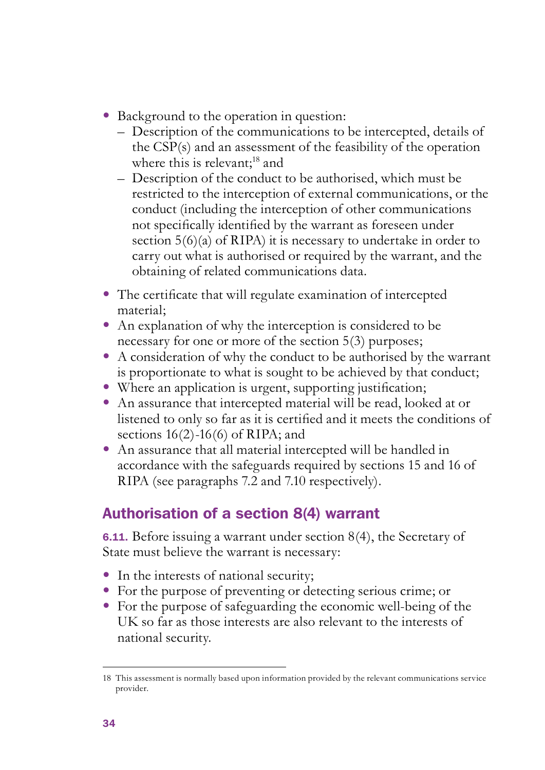- Background to the operation in question:
	- Description of the communications to be intercepted, details of the CSP(s) and an assessment of the feasibility of the operation where this is relevant;<sup>18</sup> and
	- Description of the conduct to be authorised, which must be restricted to the interception of external communications, or the conduct (including the interception of other communications not specifically identified by the warrant as foreseen under section 5(6)(a) of RIPA) it is necessary to undertake in order to carry out what is authorised or required by the warrant, and the obtaining of related communications data.
- The certificate that will regulate examination of intercepted material;
- An explanation of why the interception is considered to be necessary for one or more of the section 5(3) purposes;
- A consideration of why the conduct to be authorised by the warrant is proportionate to what is sought to be achieved by that conduct;
- Where an application is urgent, supporting justification;
- An assurance that intercepted material will be read, looked at or listened to only so far as it is certified and it meets the conditions of sections  $16(2)$ -16(6) of RIPA; and
- An assurance that all material intercepted will be handled in accordance with the safeguards required by sections 15 and 16 of RIPA (see paragraphs 7.2 and 7.10 respectively).

## Authorisation of a section 8(4) warrant

6.11. Before issuing a warrant under section 8(4), the Secretary of State must believe the warrant is necessary:

- In the interests of national security;
- For the purpose of preventing or detecting serious crime; or
- • For the purpose of safeguarding the economic well-being of the UK so far as those interests are also relevant to the interests of national security.

<sup>18</sup> This assessment is normally based upon information provided by the relevant communications service provider.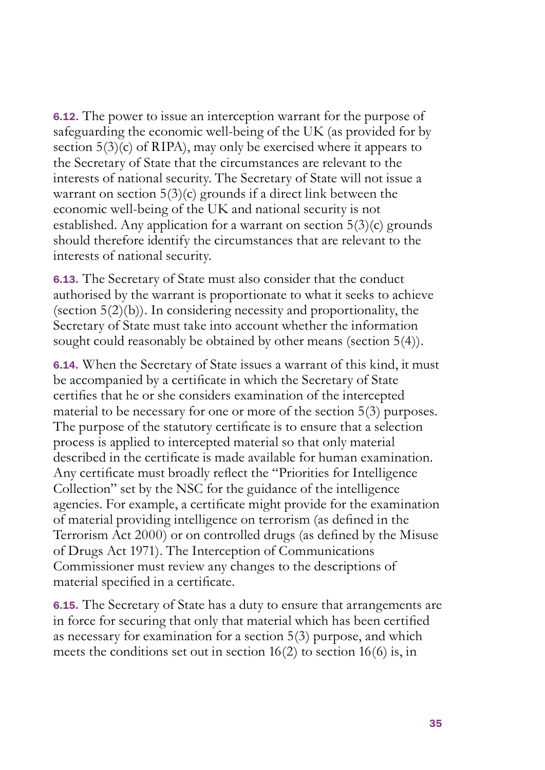6.12. The power to issue an interception warrant for the purpose of safeguarding the economic well-being of the UK (as provided for by section 5(3)(c) of RIPA), may only be exercised where it appears to the Secretary of State that the circumstances are relevant to the interests of national security. The Secretary of State will not issue a warrant on section  $5(3)(c)$  grounds if a direct link between the economic well-being of the UK and national security is not established. Any application for a warrant on section  $5(3)(c)$  grounds should therefore identify the circumstances that are relevant to the interests of national security.

6.13. The Secretary of State must also consider that the conduct authorised by the warrant is proportionate to what it seeks to achieve (section  $5(2)(b)$ ). In considering necessity and proportionality, the Secretary of State must take into account whether the information sought could reasonably be obtained by other means (section 5(4)).

6.14. When the Secretary of State issues a warrant of this kind, it must be accompanied by a certificate in which the Secretary of State certifies that he or she considers examination of the intercepted material to be necessary for one or more of the section 5(3) purposes. The purpose of the statutory certificate is to ensure that a selection process is applied to intercepted material so that only material described in the certificate is made available for human examination. Any certificate must broadly reflect the "Priorities for Intelligence Collection" set by the NSC for the guidance of the intelligence agencies. For example, a certificate might provide for the examination of material providing intelligence on terrorism (as defined in the Terrorism Act 2000) or on controlled drugs (as defined by the Misuse of Drugs Act 1971). The Interception of Communications Commissioner must review any changes to the descriptions of material specified in a certificate.

6.15. The Secretary of State has a duty to ensure that arrangements are in force for securing that only that material which has been certified as necessary for examination for a section 5(3) purpose, and which meets the conditions set out in section 16(2) to section 16(6) is, in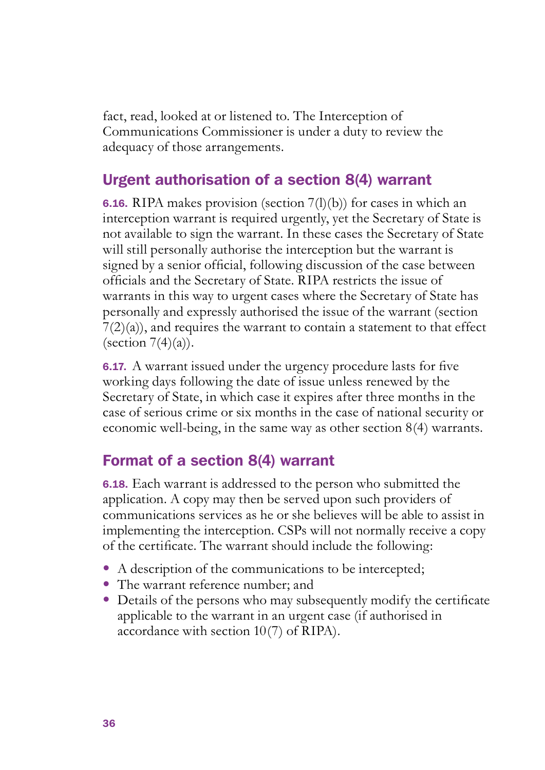fact, read, looked at or listened to. The Interception of Communications Commissioner is under a duty to review the adequacy of those arrangements.

## Urgent authorisation of a section 8(4) warrant

**6.16.** RIPA makes provision (section  $7(1)(b)$ ) for cases in which an interception warrant is required urgently, yet the Secretary of State is not available to sign the warrant. In these cases the Secretary of State will still personally authorise the interception but the warrant is signed by a senior official, following discussion of the case between officials and the Secretary of State. RIPA restricts the issue of warrants in this way to urgent cases where the Secretary of State has personally and expressly authorised the issue of the warrant (section  $7(2)(a)$ , and requires the warrant to contain a statement to that effect (section  $7(4)(a)$ ).

6.17. A warrant issued under the urgency procedure lasts for five working days following the date of issue unless renewed by the Secretary of State, in which case it expires after three months in the case of serious crime or six months in the case of national security or economic well-being, in the same way as other section 8(4) warrants.

## Format of a section 8(4) warrant

6.18. Each warrant is addressed to the person who submitted the application. A copy may then be served upon such providers of communications services as he or she believes will be able to assist in implementing the interception. CSPs will not normally receive a copy of the certificate. The warrant should include the following:

- A description of the communications to be intercepted;
- The warrant reference number; and
- Details of the persons who may subsequently modify the certificate applicable to the warrant in an urgent case (if authorised in accordance with section 10(7) of RIPA).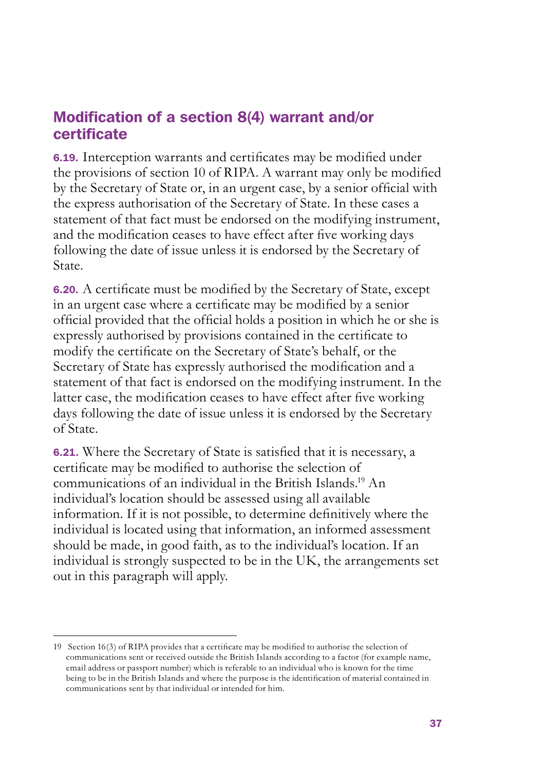## Modification of a section 8(4) warrant and/or certificate

6.19. Interception warrants and certificates may be modified under the provisions of section 10 of RIPA. A warrant may only be modified by the Secretary of State or, in an urgent case, by a senior official with the express authorisation of the Secretary of State. In these cases a statement of that fact must be endorsed on the modifying instrument, and the modification ceases to have effect after five working days following the date of issue unless it is endorsed by the Secretary of State.

6.20. A certificate must be modified by the Secretary of State, except in an urgent case where a certificate may be modified by a senior official provided that the official holds a position in which he or she is expressly authorised by provisions contained in the certificate to modify the certificate on the Secretary of State's behalf, or the Secretary of State has expressly authorised the modification and a statement of that fact is endorsed on the modifying instrument. In the latter case, the modification ceases to have effect after five working days following the date of issue unless it is endorsed by the Secretary of State.

6.21. Where the Secretary of State is satisfied that it is necessary, a certificate may be modified to authorise the selection of communications of an individual in the British Islands.19 An individual's location should be assessed using all available information. If it is not possible, to determine definitively where the individual is located using that information, an informed assessment should be made, in good faith, as to the individual's location. If an individual is strongly suspected to be in the UK, the arrangements set out in this paragraph will apply.

<sup>19</sup> Section 16(3) of RIPA provides that a certificate may be modified to authorise the selection of communications sent or received outside the British Islands according to a factor (for example name, email address or passport number) which is referable to an individual who is known for the time being to be in the British Islands and where the purpose is the identification of material contained in communications sent by that individual or intended for him.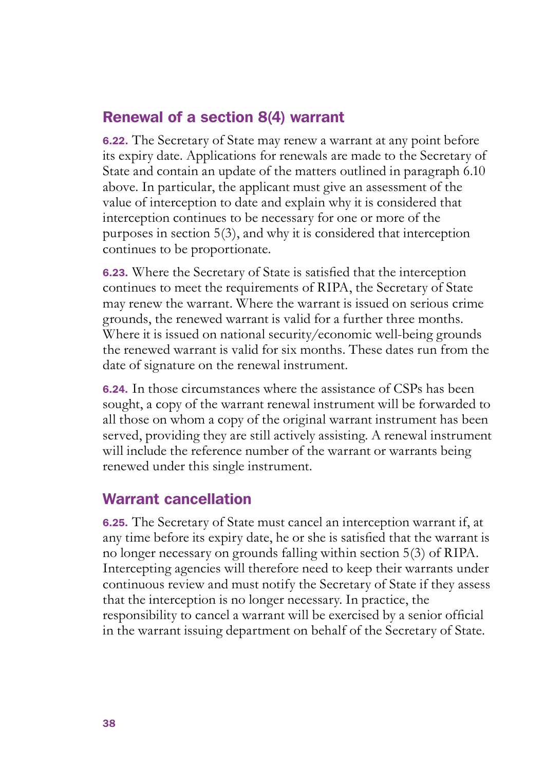### Renewal of a section 8(4) warrant

6.22. The Secretary of State may renew a warrant at any point before its expiry date. Applications for renewals are made to the Secretary of State and contain an update of the matters outlined in paragraph 6.10 above. In particular, the applicant must give an assessment of the value of interception to date and explain why it is considered that interception continues to be necessary for one or more of the purposes in section 5(3), and why it is considered that interception continues to be proportionate.

6.23. Where the Secretary of State is satisfied that the interception continues to meet the requirements of RIPA, the Secretary of State may renew the warrant. Where the warrant is issued on serious crime grounds, the renewed warrant is valid for a further three months. Where it is issued on national security/economic well-being grounds the renewed warrant is valid for six months. These dates run from the date of signature on the renewal instrument.

6.24. In those circumstances where the assistance of CSPs has been sought, a copy of the warrant renewal instrument will be forwarded to all those on whom a copy of the original warrant instrument has been served, providing they are still actively assisting. A renewal instrument will include the reference number of the warrant or warrants being renewed under this single instrument.

#### Warrant cancellation

6.25. The Secretary of State must cancel an interception warrant if, at any time before its expiry date, he or she is satisfied that the warrant is no longer necessary on grounds falling within section 5(3) of RIPA. Intercepting agencies will therefore need to keep their warrants under continuous review and must notify the Secretary of State if they assess that the interception is no longer necessary. In practice, the responsibility to cancel a warrant will be exercised by a senior official in the warrant issuing department on behalf of the Secretary of State.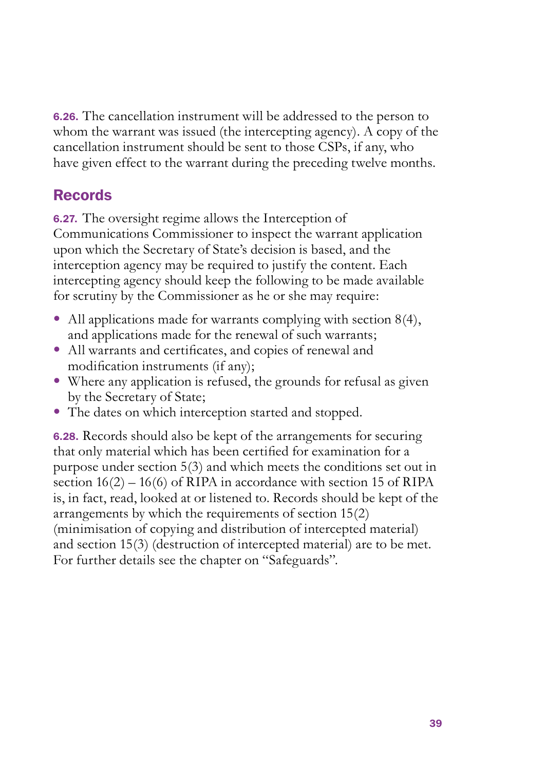6.26. The cancellation instrument will be addressed to the person to whom the warrant was issued (the intercepting agency). A copy of the cancellation instrument should be sent to those CSPs, if any, who have given effect to the warrant during the preceding twelve months.

## Records

6.27. The oversight regime allows the Interception of Communications Commissioner to inspect the warrant application upon which the Secretary of State's decision is based, and the interception agency may be required to justify the content. Each intercepting agency should keep the following to be made available for scrutiny by the Commissioner as he or she may require:

- All applications made for warrants complying with section  $8(4)$ , and applications made for the renewal of such warrants;
- All warrants and certificates, and copies of renewal and modification instruments (if any);
- Where any application is refused, the grounds for refusal as given by the Secretary of State;
- The dates on which interception started and stopped.

6.28. Records should also be kept of the arrangements for securing that only material which has been certified for examination for a purpose under section 5(3) and which meets the conditions set out in section  $16(2) - 16(6)$  of RIPA in accordance with section 15 of RIPA is, in fact, read, looked at or listened to. Records should be kept of the arrangements by which the requirements of section 15(2) (minimisation of copying and distribution of intercepted material) and section 15(3) (destruction of intercepted material) are to be met. For further details see the chapter on "Safeguards".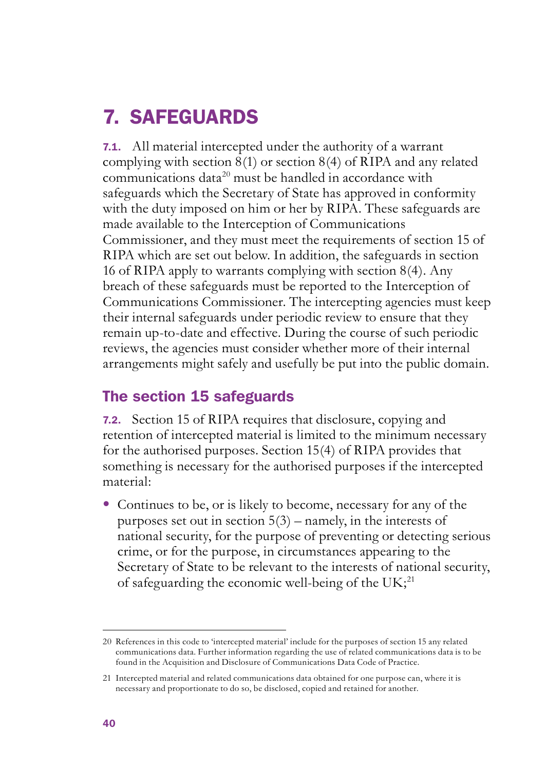## 7. SAFEGUARDS

7.1. All material intercepted under the authority of a warrant complying with section  $\frac{8(1)}{2}$  or section  $\frac{8(4)}{2}$  of RIPA and any related communications data<sup>20</sup> must be handled in accordance with safeguards which the Secretary of State has approved in conformity with the duty imposed on him or her by RIPA. These safeguards are made available to the Interception of Communications Commissioner, and they must meet the requirements of section 15 of RIPA which are set out below. In addition, the safeguards in section 16 of RIPA apply to warrants complying with section 8(4). Any breach of these safeguards must be reported to the Interception of Communications Commissioner. The intercepting agencies must keep their internal safeguards under periodic review to ensure that they remain up-to-date and effective. During the course of such periodic reviews, the agencies must consider whether more of their internal arrangements might safely and usefully be put into the public domain.

#### The section 15 safeguards

7.2. Section 15 of RIPA requires that disclosure, copying and retention of intercepted material is limited to the minimum necessary for the authorised purposes. Section 15(4) of RIPA provides that something is necessary for the authorised purposes if the intercepted material:

• Continues to be, or is likely to become, necessary for any of the purposes set out in section 5(3) – namely, in the interests of national security, for the purpose of preventing or detecting serious crime, or for the purpose, in circumstances appearing to the Secretary of State to be relevant to the interests of national security, of safeguarding the economic well-being of the  $UK;^{21}$ 

<sup>20</sup> References in this code to 'intercepted material' include for the purposes of section 15 any related communications data. Further information regarding the use of related communications data is to be found in the Acquisition and Disclosure of Communications Data Code of Practice.

<sup>21</sup> Intercepted material and related communications data obtained for one purpose can, where it is necessary and proportionate to do so, be disclosed, copied and retained for another.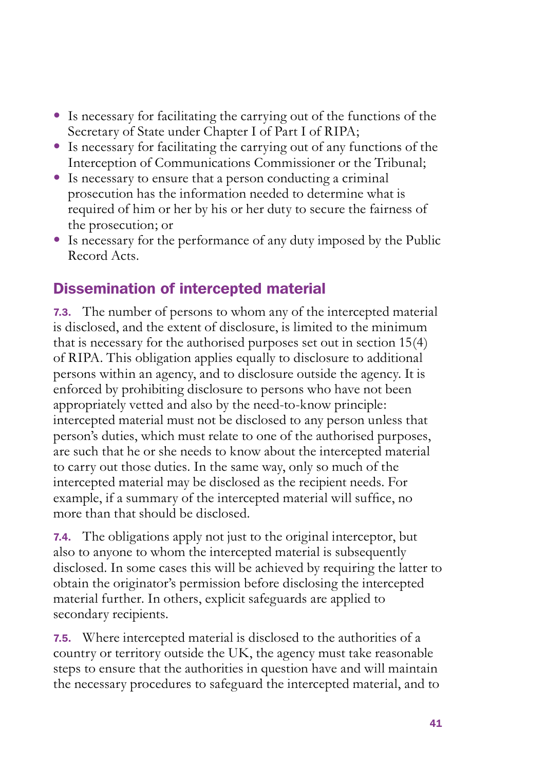- Is necessary for facilitating the carrying out of the functions of the Secretary of State under Chapter I of Part I of RIPA;
- Is necessary for facilitating the carrying out of any functions of the Interception of Communications Commissioner or the Tribunal;
- $\bullet$  Is necessary to ensure that a person conducting a criminal prosecution has the information needed to determine what is required of him or her by his or her duty to secure the fairness of the prosecution; or
- Is necessary for the performance of any duty imposed by the Public Record Acts.

## Dissemination of intercepted material

7.3. The number of persons to whom any of the intercepted material is disclosed, and the extent of disclosure, is limited to the minimum that is necessary for the authorised purposes set out in section 15(4) of RIPA. This obligation applies equally to disclosure to additional persons within an agency, and to disclosure outside the agency. It is enforced by prohibiting disclosure to persons who have not been appropriately vetted and also by the need-to-know principle: intercepted material must not be disclosed to any person unless that person's duties, which must relate to one of the authorised purposes, are such that he or she needs to know about the intercepted material to carry out those duties. In the same way, only so much of the intercepted material may be disclosed as the recipient needs. For example, if a summary of the intercepted material will suffice, no more than that should be disclosed.

7.4. The obligations apply not just to the original interceptor, but also to anyone to whom the intercepted material is subsequently disclosed. In some cases this will be achieved by requiring the latter to obtain the originator's permission before disclosing the intercepted material further. In others, explicit safeguards are applied to secondary recipients.

7.5. Where intercepted material is disclosed to the authorities of a country or territory outside the UK, the agency must take reasonable steps to ensure that the authorities in question have and will maintain the necessary procedures to safeguard the intercepted material, and to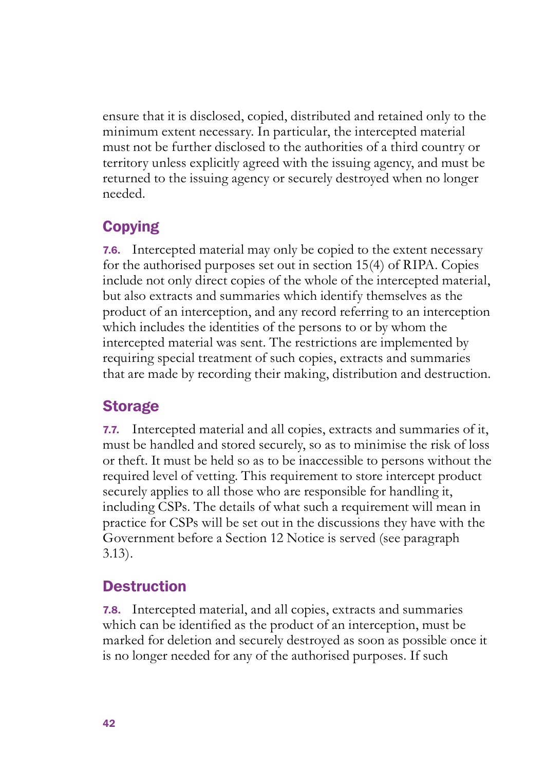ensure that it is disclosed, copied, distributed and retained only to the minimum extent necessary. In particular, the intercepted material must not be further disclosed to the authorities of a third country or territory unless explicitly agreed with the issuing agency, and must be returned to the issuing agency or securely destroyed when no longer needed.

## **Copying**

7.6. Intercepted material may only be copied to the extent necessary for the authorised purposes set out in section 15(4) of RIPA. Copies include not only direct copies of the whole of the intercepted material, but also extracts and summaries which identify themselves as the product of an interception, and any record referring to an interception which includes the identities of the persons to or by whom the intercepted material was sent. The restrictions are implemented by requiring special treatment of such copies, extracts and summaries that are made by recording their making, distribution and destruction.

## **Storage**

7.7. Intercepted material and all copies, extracts and summaries of it, must be handled and stored securely, so as to minimise the risk of loss or theft. It must be held so as to be inaccessible to persons without the required level of vetting. This requirement to store intercept product securely applies to all those who are responsible for handling it, including CSPs. The details of what such a requirement will mean in practice for CSPs will be set out in the discussions they have with the Government before a Section 12 Notice is served (see paragraph 3.13).

## **Destruction**

7.8. Intercepted material, and all copies, extracts and summaries which can be identified as the product of an interception, must be marked for deletion and securely destroyed as soon as possible once it is no longer needed for any of the authorised purposes. If such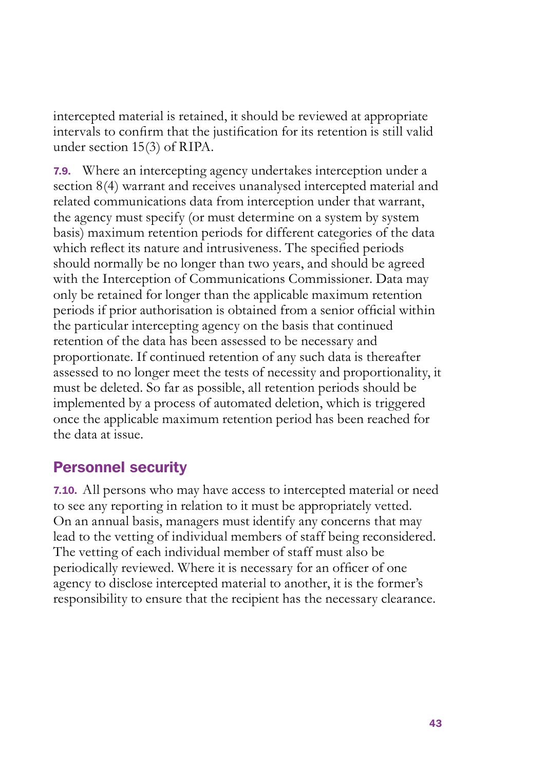intercepted material is retained, it should be reviewed at appropriate intervals to confirm that the justification for its retention is still valid under section 15(3) of RIPA.

7.9. Where an intercepting agency undertakes interception under a section 8(4) warrant and receives unanalysed intercepted material and related communications data from interception under that warrant, the agency must specify (or must determine on a system by system basis) maximum retention periods for different categories of the data which reflect its nature and intrusiveness. The specified periods should normally be no longer than two years, and should be agreed with the Interception of Communications Commissioner. Data may only be retained for longer than the applicable maximum retention periods if prior authorisation is obtained from a senior official within the particular intercepting agency on the basis that continued retention of the data has been assessed to be necessary and proportionate. If continued retention of any such data is thereafter assessed to no longer meet the tests of necessity and proportionality, it must be deleted. So far as possible, all retention periods should be implemented by a process of automated deletion, which is triggered once the applicable maximum retention period has been reached for the data at issue.

#### Personnel security

7.10. All persons who may have access to intercepted material or need to see any reporting in relation to it must be appropriately vetted. On an annual basis, managers must identify any concerns that may lead to the vetting of individual members of staff being reconsidered. The vetting of each individual member of staff must also be periodically reviewed. Where it is necessary for an officer of one agency to disclose intercepted material to another, it is the former's responsibility to ensure that the recipient has the necessary clearance.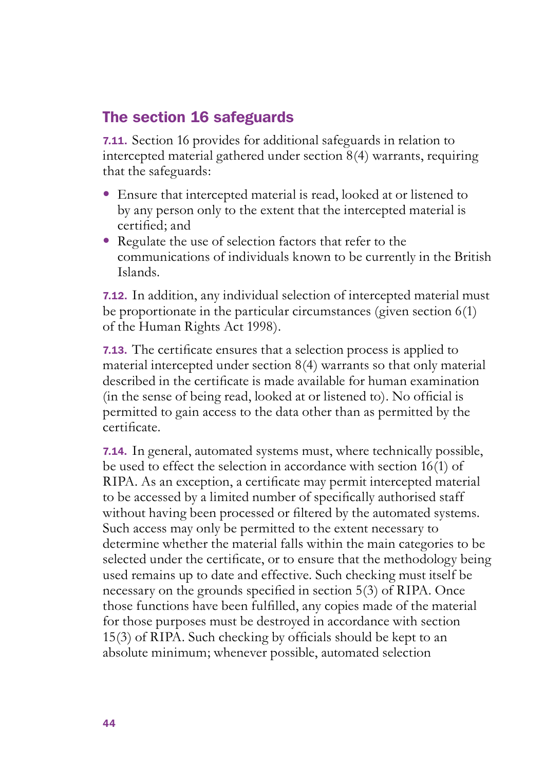## The section 16 safeguards

7.11. Section 16 provides for additional safeguards in relation to intercepted material gathered under section 8(4) warrants, requiring that the safeguards:

- Ensure that intercepted material is read, looked at or listened to by any person only to the extent that the intercepted material is certified; and
- Regulate the use of selection factors that refer to the communications of individuals known to be currently in the British Islands.

7.12. In addition, any individual selection of intercepted material must be proportionate in the particular circumstances (given section 6(1) of the Human Rights Act 1998).

7.13. The certificate ensures that a selection process is applied to material intercepted under section 8(4) warrants so that only material described in the certificate is made available for human examination (in the sense of being read, looked at or listened to). No official is permitted to gain access to the data other than as permitted by the certificate.

7.14. In general, automated systems must, where technically possible, be used to effect the selection in accordance with section 16(1) of RIPA. As an exception, a certificate may permit intercepted material to be accessed by a limited number of specifically authorised staff without having been processed or filtered by the automated systems. Such access may only be permitted to the extent necessary to determine whether the material falls within the main categories to be selected under the certificate, or to ensure that the methodology being used remains up to date and effective. Such checking must itself be necessary on the grounds specified in section 5(3) of RIPA. Once those functions have been fulfilled, any copies made of the material for those purposes must be destroyed in accordance with section 15(3) of RIPA. Such checking by officials should be kept to an absolute minimum; whenever possible, automated selection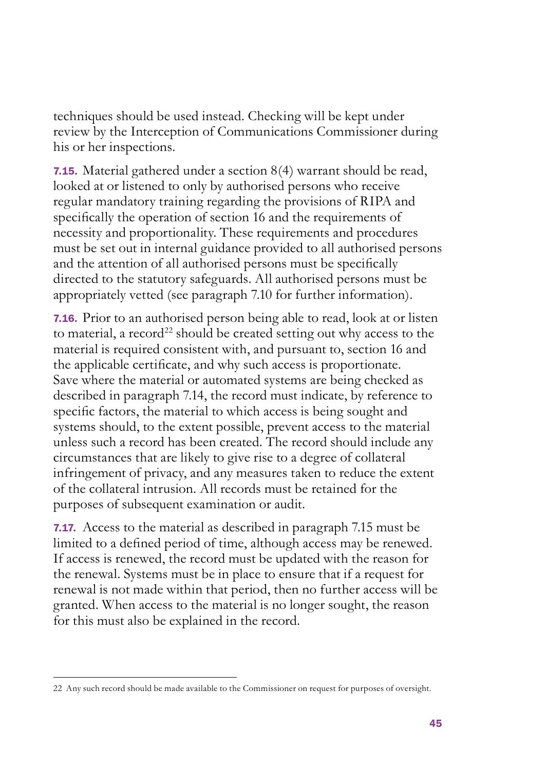techniques should be used instead. Checking will be kept under review by the Interception of Communications Commissioner during his or her inspections.

7.15. Material gathered under a section 8(4) warrant should be read, looked at or listened to only by authorised persons who receive regular mandatory training regarding the provisions of RIPA and specifically the operation of section 16 and the requirements of necessity and proportionality. These requirements and procedures must be set out in internal guidance provided to all authorised persons and the attention of all authorised persons must be specifically directed to the statutory safeguards. All authorised persons must be appropriately vetted (see paragraph 7.10 for further information).

7.16. Prior to an authorised person being able to read, look at or listen to material, a record<sup>22</sup> should be created setting out why access to the material is required consistent with, and pursuant to, section 16 and the applicable certificate, and why such access is proportionate. Save where the material or automated systems are being checked as described in paragraph 7.14, the record must indicate, by reference to specific factors, the material to which access is being sought and systems should, to the extent possible, prevent access to the material unless such a record has been created. The record should include any circumstances that are likely to give rise to a degree of collateral infringement of privacy, and any measures taken to reduce the extent of the collateral intrusion. All records must be retained for the purposes of subsequent examination or audit.

7.17. Access to the material as described in paragraph 7.15 must be limited to a defined period of time, although access may be renewed. If access is renewed, the record must be updated with the reason for the renewal. Systems must be in place to ensure that if a request for renewal is not made within that period, then no further access will be granted. When access to the material is no longer sought, the reason for this must also be explained in the record.

<sup>22</sup> Any such record should be made available to the Commissioner on request for purposes of oversight.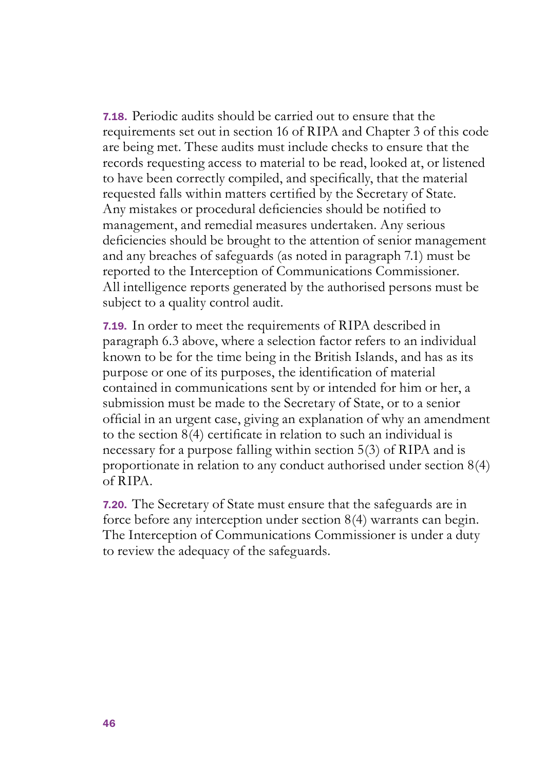7.18. Periodic audits should be carried out to ensure that the requirements set out in section 16 of RIPA and Chapter 3 of this code are being met. These audits must include checks to ensure that the records requesting access to material to be read, looked at, or listened to have been correctly compiled, and specifically, that the material requested falls within matters certified by the Secretary of State. Any mistakes or procedural deficiencies should be notified to management, and remedial measures undertaken. Any serious deficiencies should be brought to the attention of senior management and any breaches of safeguards (as noted in paragraph 7.1) must be reported to the Interception of Communications Commissioner. All intelligence reports generated by the authorised persons must be subject to a quality control audit.

7.19. In order to meet the requirements of RIPA described in paragraph 6.3 above, where a selection factor refers to an individual known to be for the time being in the British Islands, and has as its purpose or one of its purposes, the identification of material contained in communications sent by or intended for him or her, a submission must be made to the Secretary of State, or to a senior official in an urgent case, giving an explanation of why an amendment to the section 8(4) certificate in relation to such an individual is necessary for a purpose falling within section 5(3) of RIPA and is proportionate in relation to any conduct authorised under section 8(4) of RIPA.

7.20. The Secretary of State must ensure that the safeguards are in force before any interception under section 8(4) warrants can begin. The Interception of Communications Commissioner is under a duty to review the adequacy of the safeguards.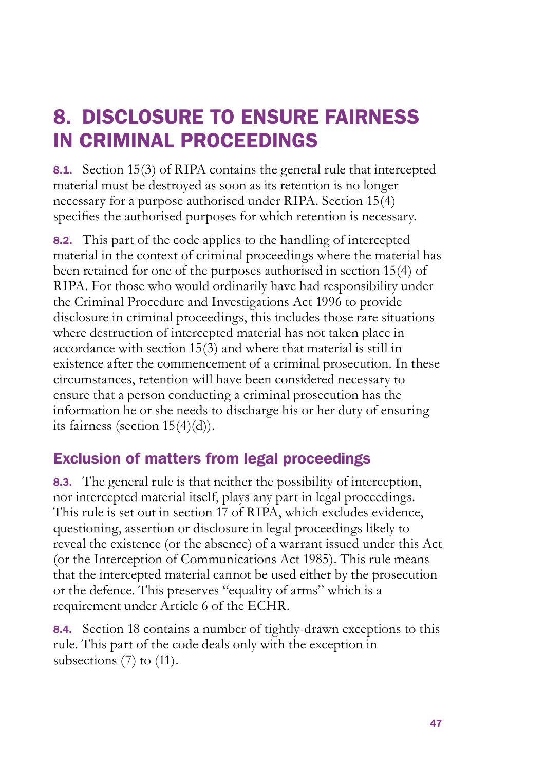## 8. DISCLOSURE TO ENSURE FAIRNESS IN CRIMINAL PROCEEDINGS

8.1. Section 15(3) of RIPA contains the general rule that intercepted material must be destroyed as soon as its retention is no longer necessary for a purpose authorised under RIPA. Section 15(4) specifies the authorised purposes for which retention is necessary.

8.2. This part of the code applies to the handling of intercepted material in the context of criminal proceedings where the material has been retained for one of the purposes authorised in section 15(4) of RIPA. For those who would ordinarily have had responsibility under the Criminal Procedure and Investigations Act 1996 to provide disclosure in criminal proceedings, this includes those rare situations where destruction of intercepted material has not taken place in accordance with section 15(3) and where that material is still in existence after the commencement of a criminal prosecution. In these circumstances, retention will have been considered necessary to ensure that a person conducting a criminal prosecution has the information he or she needs to discharge his or her duty of ensuring its fairness (section 15(4)(d)).

## Exclusion of matters from legal proceedings

8.3. The general rule is that neither the possibility of interception, nor intercepted material itself, plays any part in legal proceedings. This rule is set out in section 17 of RIPA, which excludes evidence, questioning, assertion or disclosure in legal proceedings likely to reveal the existence (or the absence) of a warrant issued under this Act (or the Interception of Communications Act 1985). This rule means that the intercepted material cannot be used either by the prosecution or the defence. This preserves "equality of arms" which is a requirement under Article 6 of the ECHR.

8.4. Section 18 contains a number of tightly-drawn exceptions to this rule. This part of the code deals only with the exception in subsections (7) to (11).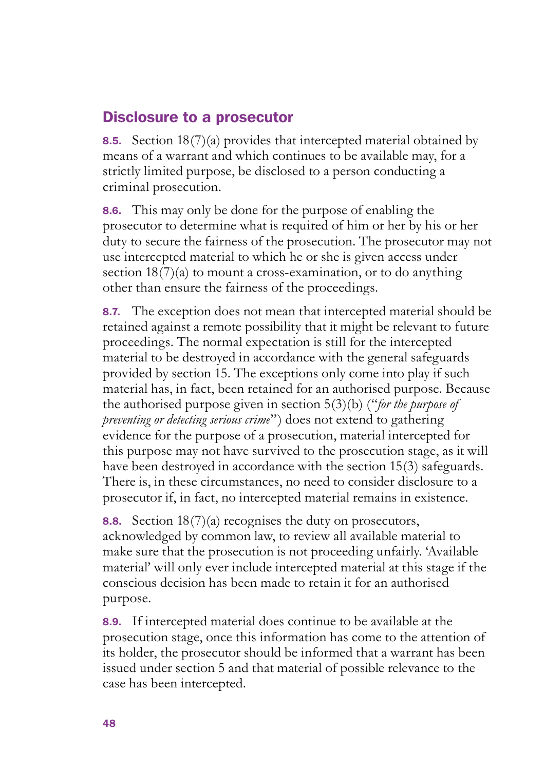#### Disclosure to a prosecutor

8.5. Section 18(7)(a) provides that intercepted material obtained by means of a warrant and which continues to be available may, for a strictly limited purpose, be disclosed to a person conducting a criminal prosecution.

8.6. This may only be done for the purpose of enabling the prosecutor to determine what is required of him or her by his or her duty to secure the fairness of the prosecution. The prosecutor may not use intercepted material to which he or she is given access under section  $18(7)(a)$  to mount a cross-examination, or to do anything other than ensure the fairness of the proceedings.

8.7. The exception does not mean that intercepted material should be retained against a remote possibility that it might be relevant to future proceedings. The normal expectation is still for the intercepted material to be destroyed in accordance with the general safeguards provided by section 15. The exceptions only come into play if such material has, in fact, been retained for an authorised purpose. Because the authorised purpose given in section 5(3)(b) ("*for the purpose of preventing or detecting serious crime*") does not extend to gathering evidence for the purpose of a prosecution, material intercepted for this purpose may not have survived to the prosecution stage, as it will have been destroyed in accordance with the section 15(3) safeguards. There is, in these circumstances, no need to consider disclosure to a prosecutor if, in fact, no intercepted material remains in existence.

**8.8.** Section  $18(7)(a)$  recognises the duty on prosecutors, acknowledged by common law, to review all available material to make sure that the prosecution is not proceeding unfairly. 'Available material' will only ever include intercepted material at this stage if the conscious decision has been made to retain it for an authorised purpose.

8.9. If intercepted material does continue to be available at the prosecution stage, once this information has come to the attention of its holder, the prosecutor should be informed that a warrant has been issued under section 5 and that material of possible relevance to the case has been intercepted.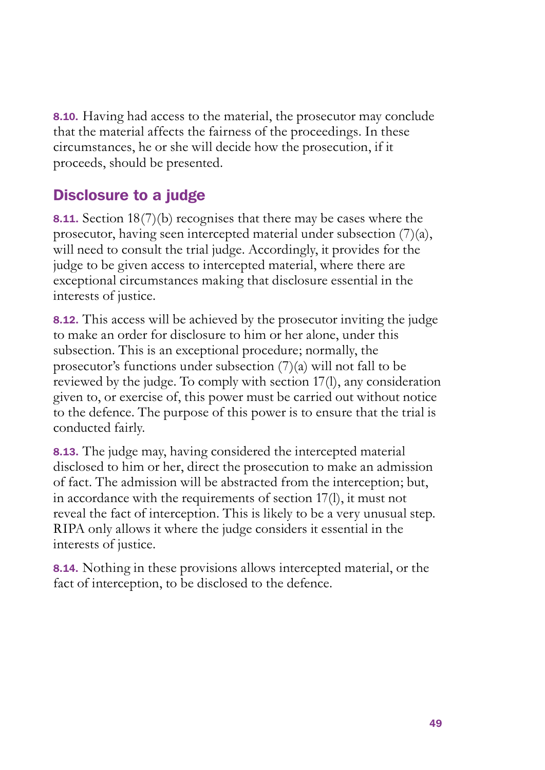8.10. Having had access to the material, the prosecutor may conclude that the material affects the fairness of the proceedings. In these circumstances, he or she will decide how the prosecution, if it proceeds, should be presented.

## Disclosure to a judge

8.11. Section 18(7)(b) recognises that there may be cases where the prosecutor, having seen intercepted material under subsection (7)(a), will need to consult the trial judge. Accordingly, it provides for the judge to be given access to intercepted material, where there are exceptional circumstances making that disclosure essential in the interests of justice.

8.12. This access will be achieved by the prosecutor inviting the judge to make an order for disclosure to him or her alone, under this subsection. This is an exceptional procedure; normally, the prosecutor's functions under subsection (7)(a) will not fall to be reviewed by the judge. To comply with section 17(l), any consideration given to, or exercise of, this power must be carried out without notice to the defence. The purpose of this power is to ensure that the trial is conducted fairly.

8.13. The judge may, having considered the intercepted material disclosed to him or her, direct the prosecution to make an admission of fact. The admission will be abstracted from the interception; but, in accordance with the requirements of section 17(l), it must not reveal the fact of interception. This is likely to be a very unusual step. RIPA only allows it where the judge considers it essential in the interests of justice.

8.14. Nothing in these provisions allows intercepted material, or the fact of interception, to be disclosed to the defence.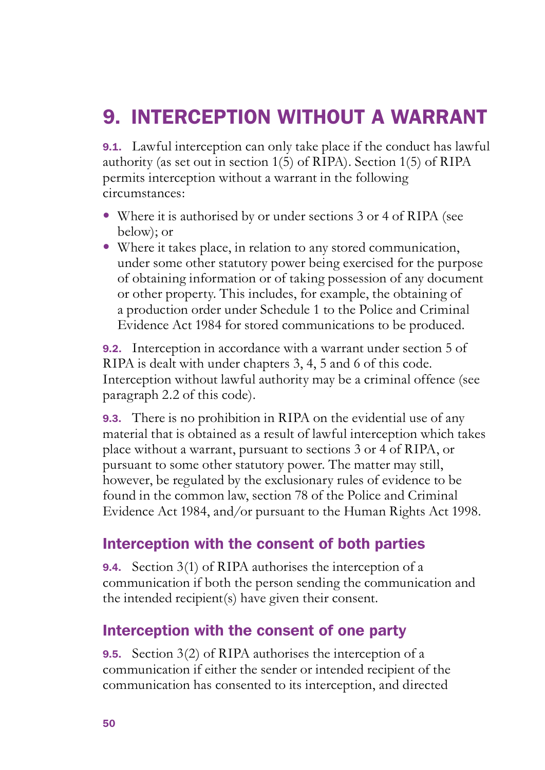## 9. INTERCEPTION WITHOUT A WARRANT

9.1. Lawful interception can only take place if the conduct has lawful authority (as set out in section 1(5) of RIPA). Section 1(5) of RIPA permits interception without a warrant in the following circumstances:

- Where it is authorised by or under sections 3 or 4 of RIPA (see below); or
- Where it takes place, in relation to any stored communication, under some other statutory power being exercised for the purpose of obtaining information or of taking possession of any document or other property. This includes, for example, the obtaining of a production order under Schedule 1 to the Police and Criminal Evidence Act 1984 for stored communications to be produced.

9.2. Interception in accordance with a warrant under section 5 of RIPA is dealt with under chapters 3, 4, 5 and 6 of this code. Interception without lawful authority may be a criminal offence (see paragraph 2.2 of this code).

**9.3.** There is no prohibition in RIPA on the evidential use of any material that is obtained as a result of lawful interception which takes place without a warrant, pursuant to sections 3 or 4 of RIPA, or pursuant to some other statutory power. The matter may still, however, be regulated by the exclusionary rules of evidence to be found in the common law, section 78 of the Police and Criminal Evidence Act 1984, and/or pursuant to the Human Rights Act 1998.

#### Interception with the consent of both parties

9.4. Section 3(1) of RIPA authorises the interception of a communication if both the person sending the communication and the intended recipient(s) have given their consent.

## Interception with the consent of one party

9.5. Section 3(2) of RIPA authorises the interception of a communication if either the sender or intended recipient of the communication has consented to its interception, and directed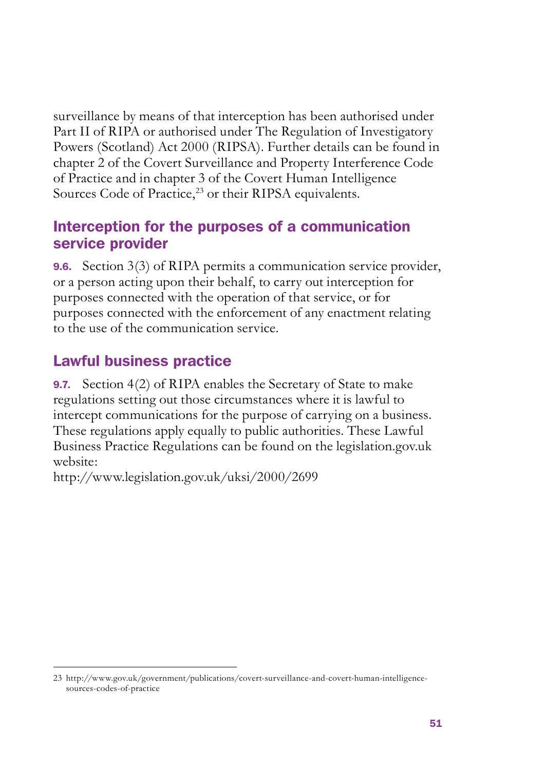surveillance by means of that interception has been authorised under Part II of RIPA or authorised under The Regulation of Investigatory Powers (Scotland) Act 2000 (RIPSA). Further details can be found in chapter 2 of the Covert Surveillance and Property Interference Code of Practice and in chapter 3 of the Covert Human Intelligence Sources Code of Practice,<sup>23</sup> or their RIPSA equivalents.

### Interception for the purposes of a communication service provider

9.6. Section 3(3) of RIPA permits a communication service provider, or a person acting upon their behalf, to carry out interception for purposes connected with the operation of that service, or for purposes connected with the enforcement of any enactment relating to the use of the communication service.

## Lawful business practice

9.7. Section 4(2) of RIPA enables the Secretary of State to make regulations setting out those circumstances where it is lawful to intercept communications for the purpose of carrying on a business. These regulations apply equally to public authorities. These Lawful Business Practice Regulations can be found on the legislation.gov.uk website:

http://www.legislation.gov.uk/uksi/2000/2699

<sup>23</sup> [http://www.gov.uk/government/publications/covert-surveillance-and-covert-human-intelligence](http://www.gov.uk/government/publications/covert-surveillance-and-covert-human-intelligence-sources-codes-of-practice)[sources-codes-of-practice](http://www.gov.uk/government/publications/covert-surveillance-and-covert-human-intelligence-sources-codes-of-practice)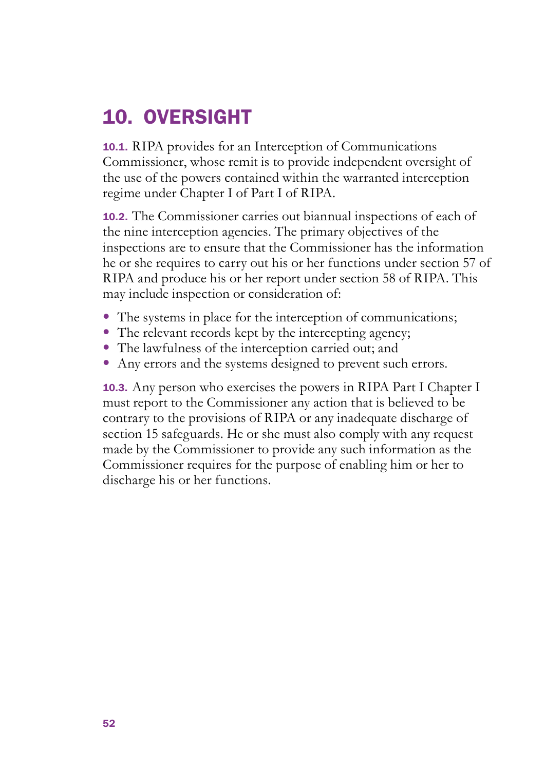## 10. OVERSIGHT

10.1. RIPA provides for an Interception of Communications Commissioner, whose remit is to provide independent oversight of the use of the powers contained within the warranted interception regime under Chapter I of Part I of RIPA.

10.2. The Commissioner carries out biannual inspections of each of the nine interception agencies. The primary objectives of the inspections are to ensure that the Commissioner has the information he or she requires to carry out his or her functions under section 57 of RIPA and produce his or her report under section 58 of RIPA. This may include inspection or consideration of:

- The systems in place for the interception of communications;
- The relevant records kept by the intercepting agency;
- The lawfulness of the interception carried out; and
- Any errors and the systems designed to prevent such errors.

10.3. Any person who exercises the powers in RIPA Part I Chapter I must report to the Commissioner any action that is believed to be contrary to the provisions of RIPA or any inadequate discharge of section 15 safeguards. He or she must also comply with any request made by the Commissioner to provide any such information as the Commissioner requires for the purpose of enabling him or her to discharge his or her functions.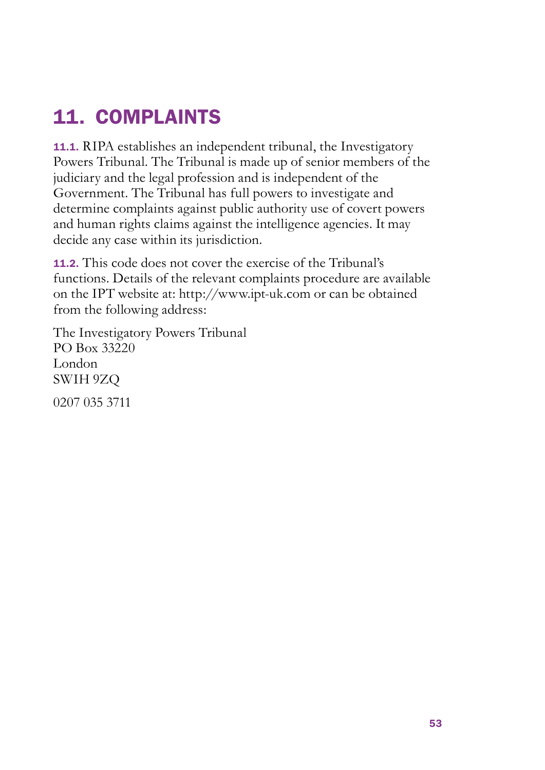## 11. COMPLAINTS

11.1. RIPA establishes an independent tribunal, the Investigatory Powers Tribunal. The Tribunal is made up of senior members of the judiciary and the legal profession and is independent of the Government. The Tribunal has full powers to investigate and determine complaints against public authority use of covert powers and human rights claims against the intelligence agencies. It may decide any case within its jurisdiction.

11.2. This code does not cover the exercise of the Tribunal's functions. Details of the relevant complaints procedure are available on the IPT website at: http://www.ipt-uk.com or can be obtained from the following address:

The Investigatory Powers Tribunal PO Box 33220 London SWIH 9ZQ 0207 035 3711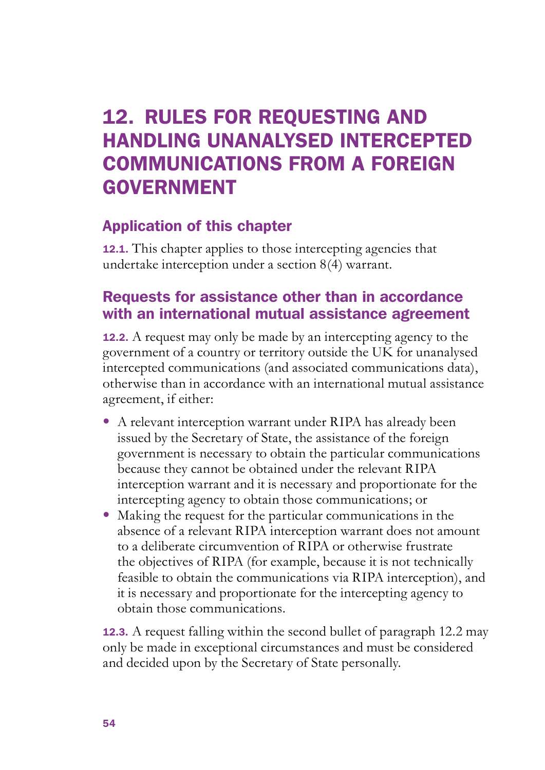## 12. RULES FOR REQUESTING AND HANDLING UNANALYSED INTERCEPTED COMMUNICATIONS FROM A FOREIGN GOVERNMENT

## Application of this chapter

12.1. This chapter applies to those intercepting agencies that undertake interception under a section 8(4) warrant.

## Requests for assistance other than in accordance with an international mutual assistance agreement

12.2. A request may only be made by an intercepting agency to the government of a country or territory outside the UK for unanalysed intercepted communications (and associated communications data), otherwise than in accordance with an international mutual assistance agreement, if either:

- • A relevant interception warrant under RIPA has already been issued by the Secretary of State, the assistance of the foreign government is necessary to obtain the particular communications because they cannot be obtained under the relevant RIPA interception warrant and it is necessary and proportionate for the intercepting agency to obtain those communications; or
- Making the request for the particular communications in the absence of a relevant RIPA interception warrant does not amount to a deliberate circumvention of RIPA or otherwise frustrate the objectives of RIPA (for example, because it is not technically feasible to obtain the communications via RIPA interception), and it is necessary and proportionate for the intercepting agency to obtain those communications.

12.3. A request falling within the second bullet of paragraph 12.2 may only be made in exceptional circumstances and must be considered and decided upon by the Secretary of State personally.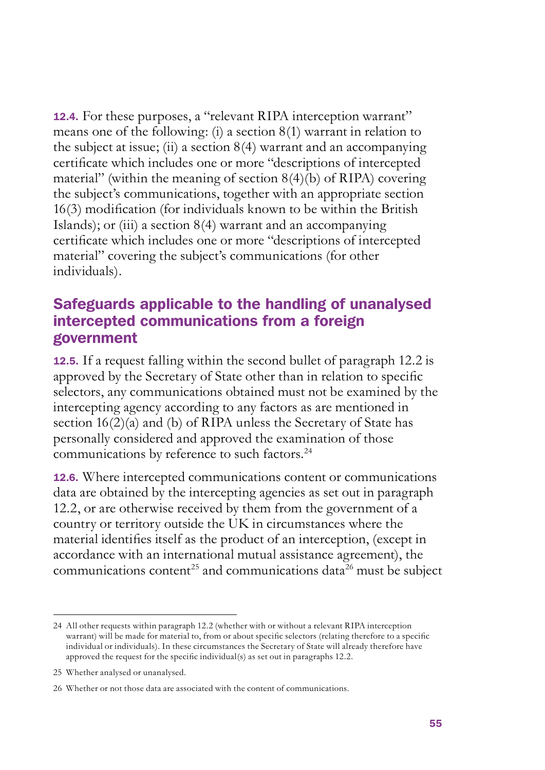12.4. For these purposes, a "relevant RIPA interception warrant" means one of the following: (i) a section 8(1) warrant in relation to the subject at issue; (ii) a section  $8(4)$  warrant and an accompanying certificate which includes one or more "descriptions of intercepted material" (within the meaning of section  $8(4)(b)$  of RIPA) covering the subject's communications, together with an appropriate section 16(3) modification (for individuals known to be within the British Islands); or (iii) a section 8(4) warrant and an accompanying certificate which includes one or more "descriptions of intercepted material" covering the subject's communications (for other individuals).

#### Safeguards applicable to the handling of unanalysed intercepted communications from a foreign government

12.5. If a request falling within the second bullet of paragraph 12.2 is approved by the Secretary of State other than in relation to specific selectors, any communications obtained must not be examined by the intercepting agency according to any factors as are mentioned in section  $16(2)(a)$  and (b) of RIPA unless the Secretary of State has personally considered and approved the examination of those communications by reference to such factors.<sup>24</sup>

12.6. Where intercepted communications content or communications data are obtained by the intercepting agencies as set out in paragraph 12.2, or are otherwise received by them from the government of a country or territory outside the UK in circumstances where the material identifies itself as the product of an interception, (except in accordance with an international mutual assistance agreement), the communications content<sup>25</sup> and communications data<sup>26</sup> must be subject

<sup>24</sup> All other requests within paragraph 12.2 (whether with or without a relevant RIPA interception warrant) will be made for material to, from or about specific selectors (relating therefore to a specific individual or individuals). In these circumstances the Secretary of State will already therefore have approved the request for the specific individual(s) as set out in paragraphs 12.2.

<sup>25</sup> Whether analysed or unanalysed.

<sup>26</sup> Whether or not those data are associated with the content of communications.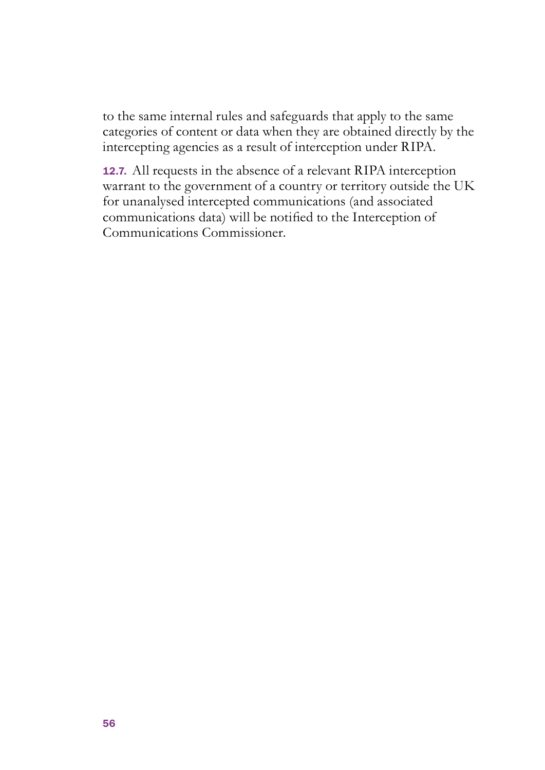to the same internal rules and safeguards that apply to the same categories of content or data when they are obtained directly by the intercepting agencies as a result of interception under RIPA.

12.7. All requests in the absence of a relevant RIPA interception warrant to the government of a country or territory outside the UK for unanalysed intercepted communications (and associated communications data) will be notified to the Interception of Communications Commissioner.